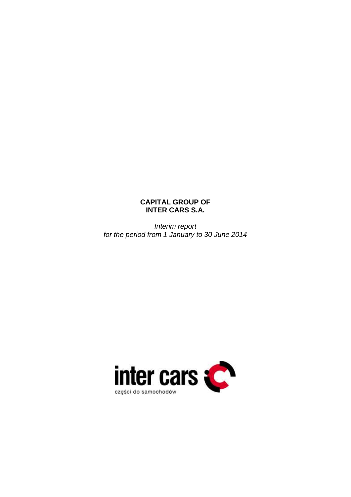# **CAPITAL GROUP OF INTER CARS S.A.**

*Interim report for the period from 1 January to 30 June 2014*

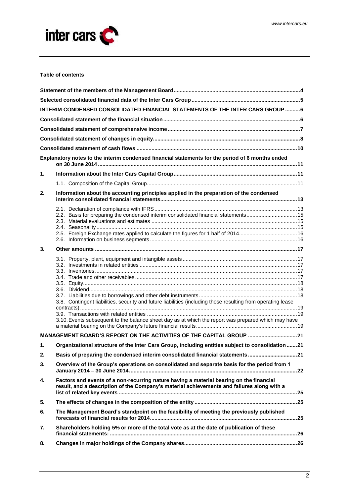

#### **Table of contents**

|    | INTERIM CONDENSED CONSOLIDATED FINANCIAL STATEMENTS OF THE INTER CARS GROUP  6                                                                                                                                                                |  |  |  |  |  |  |
|----|-----------------------------------------------------------------------------------------------------------------------------------------------------------------------------------------------------------------------------------------------|--|--|--|--|--|--|
|    |                                                                                                                                                                                                                                               |  |  |  |  |  |  |
|    |                                                                                                                                                                                                                                               |  |  |  |  |  |  |
|    |                                                                                                                                                                                                                                               |  |  |  |  |  |  |
|    |                                                                                                                                                                                                                                               |  |  |  |  |  |  |
|    | Explanatory notes to the interim condensed financial statements for the period of 6 months ended                                                                                                                                              |  |  |  |  |  |  |
| 1. |                                                                                                                                                                                                                                               |  |  |  |  |  |  |
|    |                                                                                                                                                                                                                                               |  |  |  |  |  |  |
| 2. | Information about the accounting principles applied in the preparation of the condensed                                                                                                                                                       |  |  |  |  |  |  |
|    | 2.2. Basis for preparing the condensed interim consolidated financial statements15                                                                                                                                                            |  |  |  |  |  |  |
| 3. |                                                                                                                                                                                                                                               |  |  |  |  |  |  |
|    | 3.8. Contingent liabilities, security and future liabilities (including those resulting from operating lease<br>$contracts)  \dots 19$<br>3.10. Events subsequent to the balance sheet day as at which the report was prepared which may have |  |  |  |  |  |  |
|    | MANAGEMENT BOARD'S REPORT ON THE ACTIVITIES OF THE CAPITAL GROUP 21                                                                                                                                                                           |  |  |  |  |  |  |
| 1. | Organizational structure of the Inter Cars Group, including entities subject to consolidation  21                                                                                                                                             |  |  |  |  |  |  |
| 2. | Basis of preparing the condensed interim consolidated financial statements 21                                                                                                                                                                 |  |  |  |  |  |  |
| 3. | Overview of the Group's operations on consolidated and separate basis for the period from 1                                                                                                                                                   |  |  |  |  |  |  |
| 4. | Factors and events of a non-recurring nature having a material bearing on the financial<br>result, and a description of the Company's material achievements and failures along with a                                                         |  |  |  |  |  |  |
| 5. |                                                                                                                                                                                                                                               |  |  |  |  |  |  |
| 6. | The Management Board's standpoint on the feasibility of meeting the previously published                                                                                                                                                      |  |  |  |  |  |  |
| 7. | Shareholders holding 5% or more of the total vote as at the date of publication of these                                                                                                                                                      |  |  |  |  |  |  |
| 8. |                                                                                                                                                                                                                                               |  |  |  |  |  |  |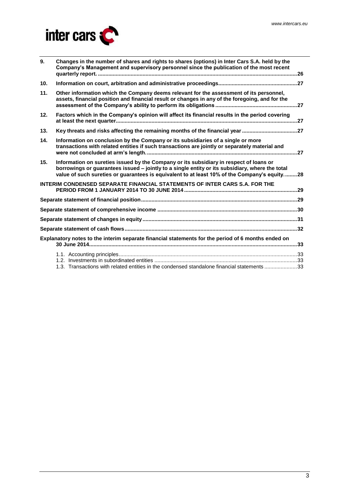

| 9.  | Changes in the number of shares and rights to shares (options) in Inter Cars S.A. held by the<br>Company's Management and supervisory personnel since the publication of the most recent                                                                                                  |  |
|-----|-------------------------------------------------------------------------------------------------------------------------------------------------------------------------------------------------------------------------------------------------------------------------------------------|--|
| 10. |                                                                                                                                                                                                                                                                                           |  |
| 11. | Other information which the Company deems relevant for the assessment of its personnel,<br>assets, financial position and financial result or changes in any of the foregoing, and for the                                                                                                |  |
| 12. | Factors which in the Company's opinion will affect its financial results in the period covering                                                                                                                                                                                           |  |
| 13. | Key threats and risks affecting the remaining months of the financial year 27                                                                                                                                                                                                             |  |
| 14. | Information on conclusion by the Company or its subsidiaries of a single or more<br>transactions with related entities if such transactions are jointly or separately material and                                                                                                        |  |
| 15. | Information on sureties issued by the Company or its subsidiary in respect of loans or<br>borrowings or guarantees issued - jointly to a single entity or its subsidiary, where the total<br>value of such sureties or quarantees is equivalent to at least 10% of the Company's equity28 |  |
|     | <b>INTERIM CONDENSED SEPARATE FINANCIAL STATEMENTS OF INTER CARS S.A. FOR THE</b>                                                                                                                                                                                                         |  |
|     |                                                                                                                                                                                                                                                                                           |  |
|     |                                                                                                                                                                                                                                                                                           |  |
|     |                                                                                                                                                                                                                                                                                           |  |
|     |                                                                                                                                                                                                                                                                                           |  |
|     | Explanatory notes to the interim separate financial statements for the period of 6 months ended on                                                                                                                                                                                        |  |
|     | 1.3. Transactions with related entities in the condensed standalone financial statements 33                                                                                                                                                                                               |  |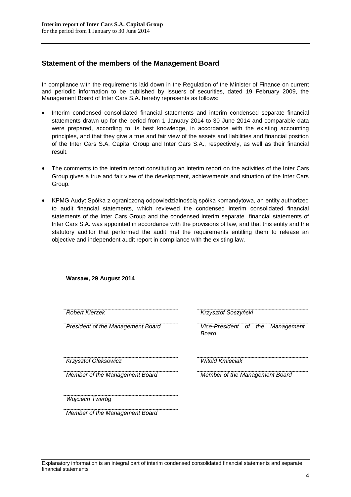# <span id="page-3-0"></span>**Statement of the members of the Management Board**

In compliance with the requirements laid down in the Regulation of the Minister of Finance on current and periodic information to be published by issuers of securities, dated 19 February 2009, the Management Board of Inter Cars S.A. hereby represents as follows:

- Interim condensed consolidated financial statements and interim condensed separate financial statements drawn up for the period from 1 January 2014 to 30 June 2014 and comparable data were prepared, according to its best knowledge, in accordance with the existing accounting principles, and that they give a true and fair view of the assets and liabilities and financial position of the Inter Cars S.A. Capital Group and Inter Cars S.A., respectively, as well as their financial result.
- The comments to the interim report constituting an interim report on the activities of the Inter Cars Group gives a true and fair view of the development, achievements and situation of the Inter Cars Group.
- KPMG Audyt Spółka z ograniczoną odpowiedzialnością spółka komandytowa, an entity authorized to audit financial statements, which reviewed the condensed interim consolidated financial statements of the Inter Cars Group and the condensed interim separate financial statements of Inter Cars S.A. was appointed in accordance with the provisions of law, and that this entity and the statutory auditor that performed the audit met the requirements entitling them to release an objective and independent audit report in compliance with the existing law.

| Robert Kierzek                    | Krzysztof Soszyński                       |
|-----------------------------------|-------------------------------------------|
| President of the Management Board | Vice-President of the Management<br>Board |
| Krzysztof Oleksowicz              | <b>Witold Kmieciak</b>                    |
| Member of the Management Board    | Member of the Management Board            |
| Wojciech Twaróg                   |                                           |
| Member of the Management Board    |                                           |

# **Warsaw, 29 August 2014**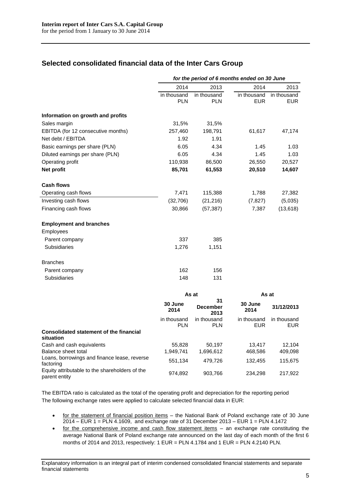# <span id="page-4-0"></span>**Selected consolidated financial data of the Inter Cars Group**

|                                                                 | for the period of 6 months ended on 30 June |                               |                           |                           |  |
|-----------------------------------------------------------------|---------------------------------------------|-------------------------------|---------------------------|---------------------------|--|
|                                                                 | 2014                                        | 2013                          | 2014                      | 2013                      |  |
|                                                                 | in thousand<br><b>PLN</b>                   | in thousand<br><b>PLN</b>     | in thousand<br><b>EUR</b> | in thousand<br><b>EUR</b> |  |
| Information on growth and profits                               |                                             |                               |                           |                           |  |
| Sales margin                                                    | 31,5%                                       | 31,5%                         |                           |                           |  |
| EBITDA (for 12 consecutive months)                              | 257,460                                     | 198,791                       | 61,617                    | 47,174                    |  |
| Net debt / EBITDA                                               | 1.92                                        | 1.91                          |                           |                           |  |
| Basic earnings per share (PLN)                                  | 6.05                                        | 4.34                          | 1.45                      | 1.03                      |  |
| Diluted earnings per share (PLN)                                | 6.05                                        | 4.34                          | 1.45                      | 1.03                      |  |
| Operating profit                                                | 110,938                                     | 86,500                        | 26,550                    | 20,527                    |  |
| Net profit                                                      | 85,701                                      | 61,553                        | 20,510                    | 14,607                    |  |
| <b>Cash flows</b>                                               |                                             |                               |                           |                           |  |
| Operating cash flows                                            | 7,471                                       | 115,388                       | 1,788                     | 27,382                    |  |
| Investing cash flows                                            | (32, 706)                                   | (21, 216)                     | (7, 827)                  | (5,035)                   |  |
| Financing cash flows                                            | 30,866                                      | (57, 387)                     | 7,387                     | (13, 618)                 |  |
| <b>Employment and branches</b>                                  |                                             |                               |                           |                           |  |
| Employees                                                       |                                             |                               |                           |                           |  |
| Parent company                                                  | 337                                         | 385                           |                           |                           |  |
| Subsidiaries                                                    | 1,276                                       | 1,151                         |                           |                           |  |
| <b>Branches</b>                                                 |                                             |                               |                           |                           |  |
| Parent company                                                  | 162                                         | 156                           |                           |                           |  |
| <b>Subsidiaries</b>                                             | 148                                         | 131                           |                           |                           |  |
|                                                                 |                                             | As at                         | As at                     |                           |  |
|                                                                 | 30 June<br>2014                             | 31<br><b>December</b><br>2013 | 30 June<br>2014           | 31/12/2013                |  |
|                                                                 | in thousand<br><b>PLN</b>                   | in thousand<br><b>PLN</b>     | in thousand<br><b>EUR</b> | in thousand<br><b>EUR</b> |  |
| <b>Consolidated statement of the financial</b><br>situation     |                                             |                               |                           |                           |  |
| Cash and cash equivalents                                       | 55,828                                      | 50,197                        | 13,417                    | 12,104                    |  |
| Balance sheet total                                             | 1,949,741                                   | 1,696,612                     | 468,586                   | 409,098                   |  |
| Loans, borrowings and finance lease, reverse<br>factoring       | 551,134                                     | 479,726                       | 132,455                   | 115,675                   |  |
| Equity attributable to the shareholders of the<br>parent entity | 974,892                                     | 903,766                       | 234,298                   | 217,922                   |  |

The EBITDA ratio is calculated as the total of the operating profit and depreciation for the reporting period The following exchange rates were applied to calculate selected financial data in EUR:

- for the statement of financial position items the National Bank of Poland exchange rate of 30 June 2014 – EUR 1 = PLN 4.1609, and exchange rate of 31 December 2013 – EUR 1 = PLN 4.1472
- for the comprehensive income and cash flow statement items an exchange rate constituting the average National Bank of Poland exchange rate announced on the last day of each month of the first 6 months of 2014 and 2013, respectively: 1 EUR = PLN 4.1784 and 1 EUR = PLN 4.2140 PLN.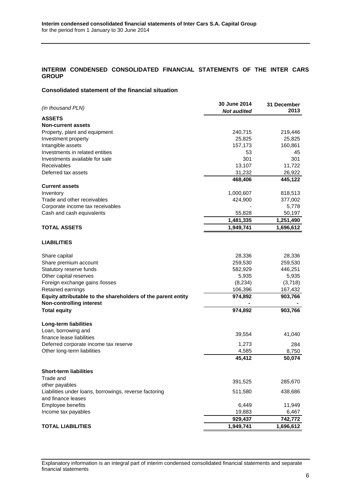## <span id="page-5-0"></span>**INTERIM CONDENSED CONSOLIDATED FINANCIAL STATEMENTS OF THE INTER CARS GROUP**

## <span id="page-5-1"></span>**Consolidated statement of the financial situation**

| <b>ASSETS</b><br><b>Non-current assets</b><br>Property, plant and equipment<br>240,715<br>219,446<br>Investment property<br>25,825<br>25,825<br>Intangible assets<br>157,173<br>160,861<br>Investments in related entities<br>53<br>45<br>301<br>Investments available for sale<br>301<br>Receivables<br>13,107<br>11,722<br>Deferred tax assets<br>31,232<br>26,922<br>445,122<br>468,406<br><b>Current assets</b><br>Inventory<br>818,513<br>1,000,607<br>Trade and other receivables<br>377,002<br>424,900<br>Corporate income tax receivables<br>5,778<br>Cash and cash equivalents<br>55,828<br>50,197<br>1,481,335<br>1,251,490<br><b>TOTAL ASSETS</b><br>1,949,741<br>1,696,612<br><b>LIABILITIES</b><br>Share capital<br>28,336<br>28,336<br>Share premium account<br>259,530<br>259,530<br>Statutory reserve funds<br>446,251<br>582,929<br>Other capital reserves<br>5,935<br>5,935<br>Foreign exchange gains /losses<br>(8, 234)<br>(3,718)<br>Retained earnings<br>106,396<br>167,432<br>Equity attributable to the shareholders of the parent entity<br>903,766<br>974,892<br><b>Non-controlling interest</b><br><b>Total equity</b><br>903,766<br>974,892<br>Long-term liabilities<br>Loan, borrowing and<br>39,554<br>41,040<br>finance lease liabilities<br>Deferred corporate income tax reserve<br>1,273<br>284<br>Other long-term liabilities<br>4,585<br>8,750<br>45,412<br>50,074<br><b>Short-term liabilities</b><br>Trade and<br>391,525<br>285,670<br>other payables<br>Liabilities under loans, borrowings, reverse factoring<br>511,580<br>438,686<br>and finance leases<br>Employee benefits<br>6,449<br>11,949<br>Income tax payables<br>19,883<br>6,467<br>742,772<br>929,437<br><b>TOTAL LIABILITIES</b><br>1,949,741<br>1,696,612 | (in thousand PLN) | 30 June 2014<br><b>Not audited</b> | 31 December<br>2013 |
|------------------------------------------------------------------------------------------------------------------------------------------------------------------------------------------------------------------------------------------------------------------------------------------------------------------------------------------------------------------------------------------------------------------------------------------------------------------------------------------------------------------------------------------------------------------------------------------------------------------------------------------------------------------------------------------------------------------------------------------------------------------------------------------------------------------------------------------------------------------------------------------------------------------------------------------------------------------------------------------------------------------------------------------------------------------------------------------------------------------------------------------------------------------------------------------------------------------------------------------------------------------------------------------------------------------------------------------------------------------------------------------------------------------------------------------------------------------------------------------------------------------------------------------------------------------------------------------------------------------------------------------------------------------------------------------------------------------------------------------------------------------|-------------------|------------------------------------|---------------------|
|                                                                                                                                                                                                                                                                                                                                                                                                                                                                                                                                                                                                                                                                                                                                                                                                                                                                                                                                                                                                                                                                                                                                                                                                                                                                                                                                                                                                                                                                                                                                                                                                                                                                                                                                                                  |                   |                                    |                     |
|                                                                                                                                                                                                                                                                                                                                                                                                                                                                                                                                                                                                                                                                                                                                                                                                                                                                                                                                                                                                                                                                                                                                                                                                                                                                                                                                                                                                                                                                                                                                                                                                                                                                                                                                                                  |                   |                                    |                     |
|                                                                                                                                                                                                                                                                                                                                                                                                                                                                                                                                                                                                                                                                                                                                                                                                                                                                                                                                                                                                                                                                                                                                                                                                                                                                                                                                                                                                                                                                                                                                                                                                                                                                                                                                                                  |                   |                                    |                     |
|                                                                                                                                                                                                                                                                                                                                                                                                                                                                                                                                                                                                                                                                                                                                                                                                                                                                                                                                                                                                                                                                                                                                                                                                                                                                                                                                                                                                                                                                                                                                                                                                                                                                                                                                                                  |                   |                                    |                     |
|                                                                                                                                                                                                                                                                                                                                                                                                                                                                                                                                                                                                                                                                                                                                                                                                                                                                                                                                                                                                                                                                                                                                                                                                                                                                                                                                                                                                                                                                                                                                                                                                                                                                                                                                                                  |                   |                                    |                     |
|                                                                                                                                                                                                                                                                                                                                                                                                                                                                                                                                                                                                                                                                                                                                                                                                                                                                                                                                                                                                                                                                                                                                                                                                                                                                                                                                                                                                                                                                                                                                                                                                                                                                                                                                                                  |                   |                                    |                     |
|                                                                                                                                                                                                                                                                                                                                                                                                                                                                                                                                                                                                                                                                                                                                                                                                                                                                                                                                                                                                                                                                                                                                                                                                                                                                                                                                                                                                                                                                                                                                                                                                                                                                                                                                                                  |                   |                                    |                     |
|                                                                                                                                                                                                                                                                                                                                                                                                                                                                                                                                                                                                                                                                                                                                                                                                                                                                                                                                                                                                                                                                                                                                                                                                                                                                                                                                                                                                                                                                                                                                                                                                                                                                                                                                                                  |                   |                                    |                     |
|                                                                                                                                                                                                                                                                                                                                                                                                                                                                                                                                                                                                                                                                                                                                                                                                                                                                                                                                                                                                                                                                                                                                                                                                                                                                                                                                                                                                                                                                                                                                                                                                                                                                                                                                                                  |                   |                                    |                     |
|                                                                                                                                                                                                                                                                                                                                                                                                                                                                                                                                                                                                                                                                                                                                                                                                                                                                                                                                                                                                                                                                                                                                                                                                                                                                                                                                                                                                                                                                                                                                                                                                                                                                                                                                                                  |                   |                                    |                     |
|                                                                                                                                                                                                                                                                                                                                                                                                                                                                                                                                                                                                                                                                                                                                                                                                                                                                                                                                                                                                                                                                                                                                                                                                                                                                                                                                                                                                                                                                                                                                                                                                                                                                                                                                                                  |                   |                                    |                     |
|                                                                                                                                                                                                                                                                                                                                                                                                                                                                                                                                                                                                                                                                                                                                                                                                                                                                                                                                                                                                                                                                                                                                                                                                                                                                                                                                                                                                                                                                                                                                                                                                                                                                                                                                                                  |                   |                                    |                     |
|                                                                                                                                                                                                                                                                                                                                                                                                                                                                                                                                                                                                                                                                                                                                                                                                                                                                                                                                                                                                                                                                                                                                                                                                                                                                                                                                                                                                                                                                                                                                                                                                                                                                                                                                                                  |                   |                                    |                     |
|                                                                                                                                                                                                                                                                                                                                                                                                                                                                                                                                                                                                                                                                                                                                                                                                                                                                                                                                                                                                                                                                                                                                                                                                                                                                                                                                                                                                                                                                                                                                                                                                                                                                                                                                                                  |                   |                                    |                     |
|                                                                                                                                                                                                                                                                                                                                                                                                                                                                                                                                                                                                                                                                                                                                                                                                                                                                                                                                                                                                                                                                                                                                                                                                                                                                                                                                                                                                                                                                                                                                                                                                                                                                                                                                                                  |                   |                                    |                     |
|                                                                                                                                                                                                                                                                                                                                                                                                                                                                                                                                                                                                                                                                                                                                                                                                                                                                                                                                                                                                                                                                                                                                                                                                                                                                                                                                                                                                                                                                                                                                                                                                                                                                                                                                                                  |                   |                                    |                     |
|                                                                                                                                                                                                                                                                                                                                                                                                                                                                                                                                                                                                                                                                                                                                                                                                                                                                                                                                                                                                                                                                                                                                                                                                                                                                                                                                                                                                                                                                                                                                                                                                                                                                                                                                                                  |                   |                                    |                     |
|                                                                                                                                                                                                                                                                                                                                                                                                                                                                                                                                                                                                                                                                                                                                                                                                                                                                                                                                                                                                                                                                                                                                                                                                                                                                                                                                                                                                                                                                                                                                                                                                                                                                                                                                                                  |                   |                                    |                     |
|                                                                                                                                                                                                                                                                                                                                                                                                                                                                                                                                                                                                                                                                                                                                                                                                                                                                                                                                                                                                                                                                                                                                                                                                                                                                                                                                                                                                                                                                                                                                                                                                                                                                                                                                                                  |                   |                                    |                     |
|                                                                                                                                                                                                                                                                                                                                                                                                                                                                                                                                                                                                                                                                                                                                                                                                                                                                                                                                                                                                                                                                                                                                                                                                                                                                                                                                                                                                                                                                                                                                                                                                                                                                                                                                                                  |                   |                                    |                     |
|                                                                                                                                                                                                                                                                                                                                                                                                                                                                                                                                                                                                                                                                                                                                                                                                                                                                                                                                                                                                                                                                                                                                                                                                                                                                                                                                                                                                                                                                                                                                                                                                                                                                                                                                                                  |                   |                                    |                     |
|                                                                                                                                                                                                                                                                                                                                                                                                                                                                                                                                                                                                                                                                                                                                                                                                                                                                                                                                                                                                                                                                                                                                                                                                                                                                                                                                                                                                                                                                                                                                                                                                                                                                                                                                                                  |                   |                                    |                     |
|                                                                                                                                                                                                                                                                                                                                                                                                                                                                                                                                                                                                                                                                                                                                                                                                                                                                                                                                                                                                                                                                                                                                                                                                                                                                                                                                                                                                                                                                                                                                                                                                                                                                                                                                                                  |                   |                                    |                     |
|                                                                                                                                                                                                                                                                                                                                                                                                                                                                                                                                                                                                                                                                                                                                                                                                                                                                                                                                                                                                                                                                                                                                                                                                                                                                                                                                                                                                                                                                                                                                                                                                                                                                                                                                                                  |                   |                                    |                     |
|                                                                                                                                                                                                                                                                                                                                                                                                                                                                                                                                                                                                                                                                                                                                                                                                                                                                                                                                                                                                                                                                                                                                                                                                                                                                                                                                                                                                                                                                                                                                                                                                                                                                                                                                                                  |                   |                                    |                     |
|                                                                                                                                                                                                                                                                                                                                                                                                                                                                                                                                                                                                                                                                                                                                                                                                                                                                                                                                                                                                                                                                                                                                                                                                                                                                                                                                                                                                                                                                                                                                                                                                                                                                                                                                                                  |                   |                                    |                     |
|                                                                                                                                                                                                                                                                                                                                                                                                                                                                                                                                                                                                                                                                                                                                                                                                                                                                                                                                                                                                                                                                                                                                                                                                                                                                                                                                                                                                                                                                                                                                                                                                                                                                                                                                                                  |                   |                                    |                     |
|                                                                                                                                                                                                                                                                                                                                                                                                                                                                                                                                                                                                                                                                                                                                                                                                                                                                                                                                                                                                                                                                                                                                                                                                                                                                                                                                                                                                                                                                                                                                                                                                                                                                                                                                                                  |                   |                                    |                     |
|                                                                                                                                                                                                                                                                                                                                                                                                                                                                                                                                                                                                                                                                                                                                                                                                                                                                                                                                                                                                                                                                                                                                                                                                                                                                                                                                                                                                                                                                                                                                                                                                                                                                                                                                                                  |                   |                                    |                     |
|                                                                                                                                                                                                                                                                                                                                                                                                                                                                                                                                                                                                                                                                                                                                                                                                                                                                                                                                                                                                                                                                                                                                                                                                                                                                                                                                                                                                                                                                                                                                                                                                                                                                                                                                                                  |                   |                                    |                     |
|                                                                                                                                                                                                                                                                                                                                                                                                                                                                                                                                                                                                                                                                                                                                                                                                                                                                                                                                                                                                                                                                                                                                                                                                                                                                                                                                                                                                                                                                                                                                                                                                                                                                                                                                                                  |                   |                                    |                     |
|                                                                                                                                                                                                                                                                                                                                                                                                                                                                                                                                                                                                                                                                                                                                                                                                                                                                                                                                                                                                                                                                                                                                                                                                                                                                                                                                                                                                                                                                                                                                                                                                                                                                                                                                                                  |                   |                                    |                     |
|                                                                                                                                                                                                                                                                                                                                                                                                                                                                                                                                                                                                                                                                                                                                                                                                                                                                                                                                                                                                                                                                                                                                                                                                                                                                                                                                                                                                                                                                                                                                                                                                                                                                                                                                                                  |                   |                                    |                     |
|                                                                                                                                                                                                                                                                                                                                                                                                                                                                                                                                                                                                                                                                                                                                                                                                                                                                                                                                                                                                                                                                                                                                                                                                                                                                                                                                                                                                                                                                                                                                                                                                                                                                                                                                                                  |                   |                                    |                     |
|                                                                                                                                                                                                                                                                                                                                                                                                                                                                                                                                                                                                                                                                                                                                                                                                                                                                                                                                                                                                                                                                                                                                                                                                                                                                                                                                                                                                                                                                                                                                                                                                                                                                                                                                                                  |                   |                                    |                     |
|                                                                                                                                                                                                                                                                                                                                                                                                                                                                                                                                                                                                                                                                                                                                                                                                                                                                                                                                                                                                                                                                                                                                                                                                                                                                                                                                                                                                                                                                                                                                                                                                                                                                                                                                                                  |                   |                                    |                     |
|                                                                                                                                                                                                                                                                                                                                                                                                                                                                                                                                                                                                                                                                                                                                                                                                                                                                                                                                                                                                                                                                                                                                                                                                                                                                                                                                                                                                                                                                                                                                                                                                                                                                                                                                                                  |                   |                                    |                     |
|                                                                                                                                                                                                                                                                                                                                                                                                                                                                                                                                                                                                                                                                                                                                                                                                                                                                                                                                                                                                                                                                                                                                                                                                                                                                                                                                                                                                                                                                                                                                                                                                                                                                                                                                                                  |                   |                                    |                     |
|                                                                                                                                                                                                                                                                                                                                                                                                                                                                                                                                                                                                                                                                                                                                                                                                                                                                                                                                                                                                                                                                                                                                                                                                                                                                                                                                                                                                                                                                                                                                                                                                                                                                                                                                                                  |                   |                                    |                     |
|                                                                                                                                                                                                                                                                                                                                                                                                                                                                                                                                                                                                                                                                                                                                                                                                                                                                                                                                                                                                                                                                                                                                                                                                                                                                                                                                                                                                                                                                                                                                                                                                                                                                                                                                                                  |                   |                                    |                     |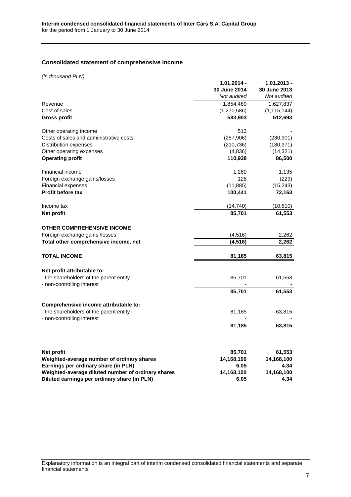# <span id="page-6-0"></span>**Consolidated statement of comprehensive income**

*(in thousand PLN)*

| $(III)$ and $1$ and $1$ and $1$ and $1$                               | 1.01.2014 -<br>30 June 2014<br>Not audited | $1.01.2013 -$<br>30 June 2013<br>Not audited |
|-----------------------------------------------------------------------|--------------------------------------------|----------------------------------------------|
| Revenue                                                               | 1,854,489                                  | 1,627,837                                    |
| Cost of sales                                                         | (1,270,586)                                | (1, 115, 144)                                |
| <b>Gross profit</b>                                                   | 583,903                                    | 512,693                                      |
| Other operating income                                                | 513                                        |                                              |
| Costs of sales and administrative costs                               | (257, 906)                                 | (230, 901)                                   |
| Distribution expenses                                                 | (210, 736)                                 | (180, 971)                                   |
| Other operating expenses                                              | (4,836)                                    | (14,321)                                     |
| <b>Operating profit</b>                                               | 110,938                                    | 86,500                                       |
| Financial income                                                      | 1,260                                      | 1,135                                        |
| Foreign exchange gains/losses                                         | 128                                        | (229)                                        |
| <b>Financial expenses</b>                                             | (11, 885)                                  | (15, 243)                                    |
| Profit before tax                                                     | 100,441                                    | 72,163                                       |
| Income tax                                                            | (14, 740)                                  | (10,610)                                     |
| Net profit                                                            | 85,701                                     | 61,553                                       |
| <b>OTHER COMPREHENSIVE INCOME</b>                                     |                                            |                                              |
| Foreign exchange gains /losses                                        | (4, 516)                                   | 2,262                                        |
| Total other comprehensive income, net                                 | (4, 516)                                   | 2,262                                        |
| <b>TOTAL INCOME</b>                                                   | 81,185                                     | 63,815                                       |
| Net profit attributable to:                                           |                                            |                                              |
| - the shareholders of the parent entity                               | 85,701                                     | 61,553                                       |
| - non-controlling interest                                            |                                            |                                              |
|                                                                       | 85,701                                     | 61,553                                       |
| Comprehensive income attributable to:                                 |                                            |                                              |
| - the shareholders of the parent entity<br>- non-controlling interest | 81,185                                     | 63,815                                       |
|                                                                       | 81,185                                     | 63,815                                       |
|                                                                       |                                            |                                              |
| Net profit                                                            | 85,701                                     | 61,553                                       |
| Weighted-average number of ordinary shares                            | 14,168,100                                 | 14,168,100                                   |
| Earnings per ordinary share (in PLN)                                  | 6.05                                       | 4.34                                         |
| Weighted-average diluted number of ordinary shares                    | 14,168,100                                 | 14,168,100                                   |
| Diluted earnings per ordinary share (in PLN)                          | 6.05                                       | 4.34                                         |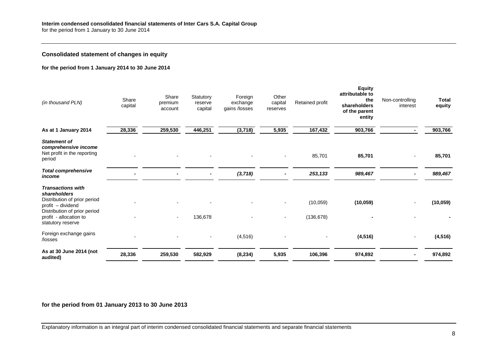### **Consolidated statement of changes in equity**

#### **for the period from 1 January 2014 to 30 June 2014**

<span id="page-7-0"></span>

| (in thousand PLN)                                                                                                                                                            | Share<br>capital | Share<br>premium<br>account | Statutory<br>reserve<br>capital | Foreign<br>exchange<br>gains /losses | Other<br>capital<br>reserves | Retained profit        | <b>Equity</b><br>attributable to<br>the<br>shareholders<br>of the parent<br>entity | Non-controlling<br>interest | Total<br>equity |
|------------------------------------------------------------------------------------------------------------------------------------------------------------------------------|------------------|-----------------------------|---------------------------------|--------------------------------------|------------------------------|------------------------|------------------------------------------------------------------------------------|-----------------------------|-----------------|
| As at 1 January 2014                                                                                                                                                         | 28,336           | 259,530                     | 446,251                         | (3,718)                              | 5,935                        | 167,432                | 903,766                                                                            |                             | 903,766         |
| <b>Statement of</b><br>comprehensive income<br>Net profit in the reporting<br>period                                                                                         |                  |                             |                                 |                                      |                              | 85,701                 | 85,701                                                                             |                             | 85,701          |
| <b>Total comprehensive</b><br>income                                                                                                                                         |                  |                             |                                 | (3, 718)                             |                              | 253,133                | 989,467                                                                            |                             | 989,467         |
| <b>Transactions with</b><br>shareholders<br>Distribution of prior period<br>profit - dividend<br>Distribution of prior period<br>profit - allocation to<br>statutory reserve |                  |                             | 136,678                         |                                      |                              | (10,059)<br>(136, 678) | (10, 059)                                                                          |                             | (10, 059)       |
| Foreign exchange gains<br>/losses                                                                                                                                            |                  |                             |                                 | (4, 516)                             |                              |                        | (4, 516)                                                                           |                             | (4, 516)        |
| As at 30 June 2014 (not<br>audited)                                                                                                                                          | 28,336           | 259,530                     | 582,929                         | (8, 234)                             | 5,935                        | 106,396                | 974,892                                                                            |                             | 974,892         |

**for the period from 01 January 2013 to 30 June 2013**

Explanatory information is an integral part of interim condensed consolidated financial statements and separate financial statements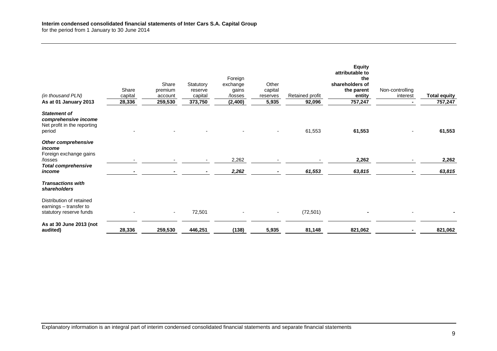| (in thousand PLN)<br>As at 01 January 2013                                           | Share<br>capital<br>28,336 | Share<br>premium<br>account<br>259,530 | Statutory<br>reserve<br>capital<br>373,750 | Foreign<br>exchange<br>gains<br>/losses<br>(2, 400) | Other<br>capital<br>reserves<br>5,935 | Retained profit<br>92,096 | <b>Equity</b><br>attributable to<br>the<br>shareholders of<br>the parent<br>entity<br>757,247 | Non-controlling<br>interest | <b>Total equity</b><br>757,247 |
|--------------------------------------------------------------------------------------|----------------------------|----------------------------------------|--------------------------------------------|-----------------------------------------------------|---------------------------------------|---------------------------|-----------------------------------------------------------------------------------------------|-----------------------------|--------------------------------|
|                                                                                      |                            |                                        |                                            |                                                     |                                       |                           |                                                                                               |                             |                                |
| <b>Statement of</b><br>comprehensive income<br>Net profit in the reporting<br>period |                            |                                        |                                            |                                                     |                                       | 61,553                    | 61,553                                                                                        |                             | 61,553                         |
| Other comprehensive<br>income<br>Foreign exchange gains<br>/losses                   |                            |                                        |                                            | 2,262                                               |                                       |                           | 2,262                                                                                         |                             | 2,262                          |
| <b>Total comprehensive</b>                                                           |                            |                                        |                                            |                                                     |                                       |                           |                                                                                               |                             |                                |
| income                                                                               |                            |                                        |                                            | 2,262                                               |                                       | 61,553                    | 63,815                                                                                        |                             | 63,815                         |
| <b>Transactions with</b><br>shareholders                                             |                            |                                        |                                            |                                                     |                                       |                           |                                                                                               |                             |                                |
| Distribution of retained<br>earnings - transfer to<br>statutory reserve funds        |                            | $\sim$                                 | 72,501                                     | $\blacksquare$                                      | $\overline{\phantom{a}}$              | (72, 501)                 |                                                                                               |                             |                                |
| As at 30 June 2013 (not<br>audited)                                                  | 28,336                     | 259,530                                | 446,251                                    | (138)                                               | 5,935                                 | 81,148                    | 821,062                                                                                       |                             | 821,062                        |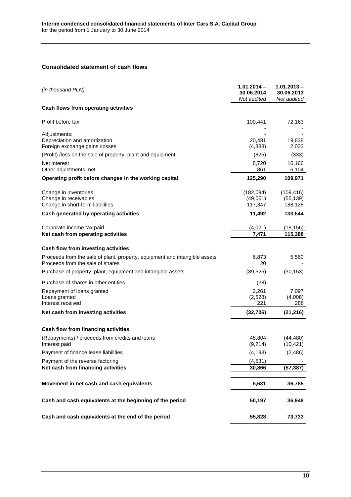# <span id="page-9-0"></span>**Consolidated statement of cash flows**

| (in thousand PLN)                                                                                              | $1.01.2014 -$<br>30.06.2014<br>Not audited | $1.01.2013 -$<br>30.06.2013<br>Not audited |
|----------------------------------------------------------------------------------------------------------------|--------------------------------------------|--------------------------------------------|
| Cash flows from operating activities                                                                           |                                            |                                            |
| Profit before tax                                                                                              | 100,441                                    | 72,163                                     |
| Adjustments:<br>Depreciation and amortization<br>Foreign exchange gains /losses                                | 20,481<br>(4,388)                          | 19,838<br>2,033                            |
| (Profit) /loss on the sale of property, plant and equipment                                                    | (825)                                      | (333)                                      |
| Net interest<br>Other adjustments, net                                                                         | 8,720<br>861                               | 10,166<br>6,104                            |
| Operating profit before changes in the working capital                                                         | 125,290                                    | 109,971                                    |
| Change in inventories<br>Change in receivables<br>Change in short-term liabilities                             | (182,094)<br>(49,051)<br>117,347           | (109, 416)<br>(55, 139)<br>188,128         |
| Cash generated by operating activities                                                                         | 11,492                                     | 133,544                                    |
| Corporate income tax paid<br>Net cash from operating activities                                                | (4,021)<br>7,471                           | (18, 156)<br>115,388                       |
| Cash flow from investing activities                                                                            |                                            |                                            |
| Proceeds from the sale of plant, property, equipment and intangible assets<br>Proceeds from the sale of shares | 6,873<br>20                                | 5,560                                      |
| Purchase of property, plant, equipment and intangible assets                                                   | (39, 525)                                  | (30, 153)                                  |
| Purchase of shares in other entities                                                                           | (28)                                       |                                            |
| Repayment of loans granted<br>Loans granted<br>Interest received                                               | 2,261<br>(2,528)<br>221                    | 7,097<br>(4,008)<br>288                    |
| Net cash from investing activities                                                                             | (32, 706)                                  | (21, 216)                                  |
| Cash flow from financing activities                                                                            |                                            |                                            |
| (Repayments) / proceeds from credits and loans<br>Interest paid                                                | 48,804<br>(9,214)                          | (44, 480)<br>(10, 421)                     |
| Payment of finance lease liabilities                                                                           | (4, 193)                                   | (2, 486)                                   |
| Payment of the reverse factoring                                                                               | (4, 531)                                   |                                            |
| Net cash from financing activities                                                                             | 30,866                                     | (57, 387)                                  |
| Movement in net cash and cash equivalents                                                                      | 5,631                                      | 36,785                                     |
| Cash and cash equivalents at the beginning of the period                                                       | 50,197                                     | 36,948                                     |
| Cash and cash equivalents at the end of the period                                                             | 55,828                                     | 73,733                                     |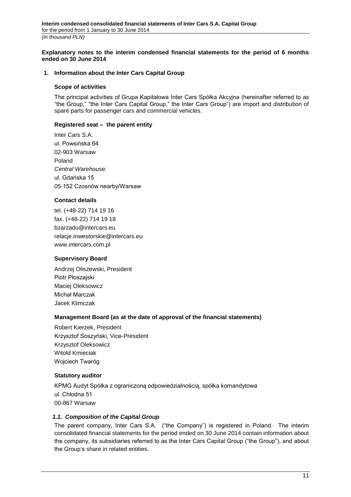<span id="page-10-0"></span>**Explanatory notes to the interim condensed financial statements for the period of 6 months ended on 30 June 2014**

#### <span id="page-10-1"></span>**1. Information about the Inter Cars Capital Group**

#### **Scope of activities**

The principal activities of Grupa Kapitałowa Inter Cars Spółka Akcyjna (hereinafter referred to as "the Group," "the Inter Cars Capital Group," the Inter Cars Group") are import and distribution of spare parts for passenger cars and commercial vehicles.

#### **Registered seat – the parent entity**

Inter Cars S.A. ul. Powsińska 64 02-903 Warsaw Poland *Central Warehouse:* ul. Gdańska 15 05-152 Czosnów nearby/Warsaw

### **Contact details**

tel. (+48-22) 714 19 16 fax. (+48-22) 714 19 18 bzarzadu@intercars.eu relacje.inwestorskie@intercars.eu www.intercars.com.pl

### **Supervisory Board**

Andrzej Oliszewski, President Piotr Płoszajski Maciej Oleksowicz Michał Marczak Jacek Klimczak

### **Management Board (as at the date of approval of the financial statements)**

Robert Kierzek, President Krzysztof Soszyński, Vice-President Krzysztof Oleksowicz Witold Kmieciak Wojciech Twaróg

### **Statutory auditor**

KPMG Audyt Spółka z ograniczoną odpowiedzialnością, spółka komandytowa ul. Chłodna 51 00-867 Warsaw

### <span id="page-10-2"></span>*1.1. Composition of the Capital Group*

The parent company, Inter Cars S.A. ("the Company") is registered in Poland. The interim consolidated financial statements for the period ended on 30 June 2014 contain information about the company, its subsidiaries referred to as the Inter Cars Capital Group ("the Group"), and about the Group's share in related entities.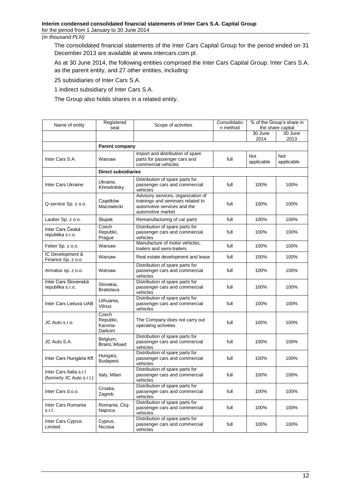The consolidated financial statements of the Inter Cars Capital Group for the period ended on 31 December 2013 are available at www.intercars.com.pl.

As at 30 June 2014, the following entities comprised the Inter Cars Capital Group: Inter Cars S.A. as the parent entity, and 27 other entities, including:

25 subsidiaries of Inter Cars S.A.

1 indirect subsidiary of Inter Cars S.A.

The Group also holds shares in a related entity.

| Name of entity                                       | Registered<br>seat                       | Scope of activities                                                                                                         | Consolidatio<br>n method |                   | % of the Group's share in<br>the share capital |
|------------------------------------------------------|------------------------------------------|-----------------------------------------------------------------------------------------------------------------------------|--------------------------|-------------------|------------------------------------------------|
|                                                      |                                          |                                                                                                                             | 30 June<br>2014          | 30 June<br>2013   |                                                |
|                                                      | Parent company                           |                                                                                                                             |                          |                   |                                                |
| Inter Cars S.A.                                      | Warsaw                                   | Import and distribution of spare<br>parts for passenger cars and<br>commercial vehicles                                     | full                     | Not<br>applicable | Not<br>applicable                              |
|                                                      | <b>Direct subsidiaries</b>               |                                                                                                                             |                          |                   |                                                |
| Inter Cars Ukraine                                   | Ukraine,<br>Khmelnitsky                  | Distribution of spare parts for<br>passenger cars and commercial<br>vehicles                                                | full                     | 100%              | 100%                                           |
| Q-service Sp. z o.o.                                 | Czastków<br>Mazowiecki                   | Advisory services, organization of<br>trainings and seminars related to<br>automotive services and the<br>automotive market | full                     | 100%              | 100%                                           |
| Lauber Sp. z o.o.                                    | Słupsk                                   | Remanufacturing of car parts                                                                                                | full                     | 100%              | 100%                                           |
| Inter Cars Česká<br>republika s.r.o.                 | Czech<br>Republic,<br>Prague             | Distribution of spare parts for<br>passenger cars and commercial<br>vehicles                                                | full                     | 100%              | 100%                                           |
| Feber Sp. z o.o.                                     | Warsaw                                   | Manufacture of motor vehicles,<br>trailers and semi-trailers                                                                | full                     | 100%              | 100%                                           |
| IC Development &<br>Finance Sp. z o.o                | Warsaw                                   | Real estate development and lease                                                                                           | full                     | 100%              | 100%                                           |
| Armatus sp. z o.o.                                   | Warsaw                                   | Distribution of spare parts for<br>passenger cars and commercial<br>vehicles                                                | full                     | 100%              | 100%                                           |
| Inter Cars Slovenská<br>republika s.r.o.             | Slovakia,<br><b>Bratislava</b>           | Distribution of spare parts for<br>passenger cars and commercial<br>vehicles                                                | full                     | 100%              | 100%                                           |
| Inter Cars Lietuva UAB                               | Lithuania,<br>Vilnus                     | Distribution of spare parts for<br>passenger cars and commercial<br>vehicles                                                | full                     | 100%              | 100%                                           |
| JC Auto s.r.o.                                       | Czech<br>Republic,<br>Karvina-<br>Darkom | The Company does not carry out<br>operating activities                                                                      | full                     | 100%              | 100%                                           |
| JC Auto S.A.                                         | Belgium,<br>BrainL'Allued                | Distribution of spare parts for<br>passenger cars and commercial<br>vehicles                                                | full                     | 100%              | 100%                                           |
| Inter Cars Hungária Kft                              | Hungary,<br><b>Budapest</b>              | Distribution of spare parts for<br>passenger cars and commercial<br>vehicles                                                | full                     | 100%              | 100%                                           |
| Inter Cars Italia s.r.I<br>(formerly JC Auto s.r.l.) | Italy, Milan                             | Distribution of spare parts for<br>passenger cars and commercial<br>vehicles                                                | full                     | 100%              | 100%                                           |
| Inter Cars d.o.o.                                    | Croatia,<br>Zagreb                       | Distribution of spare parts for<br>passenger cars and commercial<br>vehicles                                                | full                     | 100%              | 100%                                           |
| Inter Cars Romania<br>s.r.l.                         | Romania, Cluj-<br>Napoca                 | Distribution of spare parts for<br>passenger cars and commercial<br>vehicles                                                | full                     | 100%              | 100%                                           |
| Inter Cars Cyprus<br>Limited                         | Cyprus,<br>Nicosia                       | Distribution of spare parts for<br>passenger cars and commercial<br>vehicles                                                | full                     | 100%              | 100%                                           |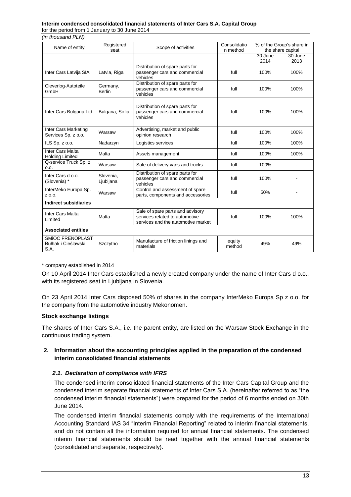# **Interim condensed consolidated financial statements of Inter Cars S.A. Capital Group**

for the period from 1 January to 30 June 2014 *(in thousand PLN)*

| Name of entity                                         | Registered<br>seat        | Scope of activities                                                                                      | Consolidatio<br>n method |                 | % of the Group's share in<br>the share capital |
|--------------------------------------------------------|---------------------------|----------------------------------------------------------------------------------------------------------|--------------------------|-----------------|------------------------------------------------|
|                                                        |                           |                                                                                                          |                          | 30 June<br>2014 | 30 June<br>2013                                |
| Inter Cars Latvija SIA                                 | Latvia, Riga              | Distribution of spare parts for<br>passenger cars and commercial<br>vehicles                             | full                     | 100%            | 100%                                           |
| Cleverlog-Autoteile<br>GmbH                            | Germany,<br><b>Berlin</b> | Distribution of spare parts for<br>passenger cars and commercial<br>vehicles                             | full                     | 100%            | 100%                                           |
| Inter Cars Bulgaria Ltd.                               | Bulgaria, Sofia           | Distribution of spare parts for<br>passenger cars and commercial<br>vehicles                             | full                     | 100%            | 100%                                           |
| Inter Cars Marketing<br>Services Sp. z o.o.            | Warsaw                    | Advertising, market and public<br>opinion research                                                       | full                     | 100%            | 100%                                           |
| ILS Sp. z o.o.                                         | Nadarzyn                  | Logistics services                                                                                       | full                     | 100%            | 100%                                           |
| Inter Cars Malta<br><b>Holding Limited</b>             | Malta                     | Assets management                                                                                        | full                     | 100%            | 100%                                           |
| Q-service Truck Sp. z<br>0.0.                          | Warsaw                    | Sale of delivery vans and trucks                                                                         | full                     | 100%            |                                                |
| Inter Cars d o.o.<br>(Slovenia) *                      | Slovenia.<br>Ljubljana    | Distribution of spare parts for<br>passenger cars and commercial<br>vehicles                             | full                     | 100%            |                                                |
| InterMeko Europa Sp.<br>Z 0.0.                         | Warsaw                    | Control and assessment of spare<br>parts, components and accessories                                     | full                     | 50%             |                                                |
| <b>Indirect subsidiaries</b>                           |                           |                                                                                                          |                          |                 |                                                |
| Inter Cars Malta<br>Limited                            | Malta                     | Sale of spare parts and advisory<br>services related to automotive<br>services and the automotive market | full                     | 100%            | 100%                                           |
| <b>Associated entities</b>                             |                           |                                                                                                          |                          |                 |                                                |
| <b>SMIOC FRENOPLAST</b><br>Bułhak i Cieślawski<br>S.A. | Szczytno                  | Manufacture of friction linings and<br>materials                                                         | equity<br>method         | 49%             | 49%                                            |

\* company established in 2014

On 10 April 2014 Inter Cars established a newly created company under the name of Inter Cars d o.o., with its registered seat in Ljubljana in Slovenia.

On 23 April 2014 Inter Cars disposed 50% of shares in the company InterMeko Europa Sp z o.o. for the company from the automotive industry Mekonomen.

### **Stock exchange listings**

The shares of Inter Cars S.A., i.e. the parent entity, are listed on the Warsaw Stock Exchange in the continuous trading system.

# <span id="page-12-0"></span>**2. Information about the accounting principles applied in the preparation of the condensed interim consolidated financial statements**

### <span id="page-12-1"></span>*2.1. Declaration of compliance with IFRS*

The condensed interim consolidated financial statements of the Inter Cars Capital Group and the condensed interim separate financial statements of Inter Cars S.A. (hereinafter referred to as "the condensed interim financial statements") were prepared for the period of 6 months ended on 30th June 2014.

The condensed interim financial statements comply with the requirements of the International Accounting Standard IAS 34 "Interim Financial Reporting" related to interim financial statements, and do not contain all the information required for annual financial statements. The condensed interim financial statements should be read together with the annual financial statements (consolidated and separate, respectively).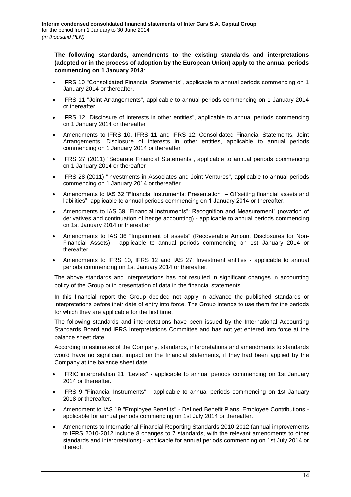**The following standards, amendments to the existing standards and interpretations (adopted or in the process of adoption by the European Union) apply to the annual periods commencing on 1 January 2013**:

- IFRS 10 "Consolidated Financial Statements", applicable to annual periods commencing on 1 January 2014 or thereafter,
- IFRS 11 "Joint Arrangements", applicable to annual periods commencing on 1 January 2014 or thereafter
- IFRS 12 "Disclosure of interests in other entities", applicable to annual periods commencing on 1 January 2014 or thereafter
- Amendments to IFRS 10, IFRS 11 and IFRS 12: Consolidated Financial Statements, Joint Arrangements, Disclosure of interests in other entities, applicable to annual periods commencing on 1 January 2014 or thereafter
- IFRS 27 (2011) "Separate Financial Statements", applicable to annual periods commencing on 1 January 2014 or thereafter
- IFRS 28 (2011) "Investments in Associates and Joint Ventures", applicable to annual periods commencing on 1 January 2014 or thereafter
- Amendments to IAS 32 "Financial Instruments: Presentation Offsetting financial assets and liabilities", applicable to annual periods commencing on 1 January 2014 or thereafter.
- Amendments to IAS 39 "Financial Instruments": Recognition and Measurement" (novation of derivatives and continuation of hedge accounting) - applicable to annual periods commencing on 1st January 2014 or thereafter,
- Amendments to IAS 36 "Impairment of assets" (Recoverable Amount Disclosures for Non-Financial Assets) - applicable to annual periods commencing on 1st January 2014 or thereafter,
- Amendments to IFRS 10, IFRS 12 and IAS 27: Investment entities applicable to annual periods commencing on 1st January 2014 or thereafter.

The above standards and interpretations has not resulted in significant changes in accounting policy of the Group or in presentation of data in the financial statements.

In this financial report the Group decided not apply in advance the published standards or interpretations before their date of entry into force. The Group intends to use them for the periods for which they are applicable for the first time.

The following standards and interpretations have been issued by the International Accounting Standards Board and IFRS Interpretations Committee and has not yet entered into force at the balance sheet date.

According to estimates of the Company, standards, interpretations and amendments to standards would have no significant impact on the financial statements, if they had been applied by the Company at the balance sheet date.

- IFRIC interpretation 21 "Levies" applicable to annual periods commencing on 1st January 2014 or thereafter.
- IFRS 9 "Financial Instruments" applicable to annual periods commencing on 1st January 2018 or thereafter
- Amendment to IAS 19 "Employee Benefits" Defined Benefit Plans: Employee Contributions applicable for annual periods commencing on 1st July 2014 or thereafter.
- Amendments to International Financial Reporting Standards 2010-2012 (annual improvements to IFRS 2010-2012 include 8 changes to 7 standards, with the relevant amendments to other standards and interpretations) - applicable for annual periods commencing on 1st July 2014 or thereof.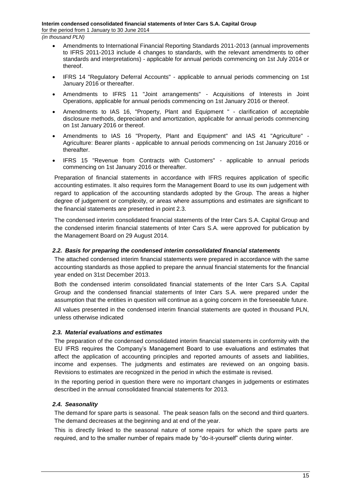- Amendments to International Financial Reporting Standards 2011-2013 (annual improvements to IFRS 2011-2013 include 4 changes to standards, with the relevant amendments to other standards and interpretations) - applicable for annual periods commencing on 1st July 2014 or thereof.
- IFRS 14 "Regulatory Deferral Accounts" applicable to annual periods commencing on 1st January 2016 or thereafter.
- Amendments to IFRS 11 "Joint arrangements" Acquisitions of Interests in Joint Operations, applicable for annual periods commencing on 1st January 2016 or thereof.
- Amendments to IAS 16, "Property, Plant and Equipment " clarification of acceptable disclosure methods, depreciation and amortization, applicable for annual periods commencing on 1st January 2016 or thereof.
- Amendments to IAS 16 "Property, Plant and Equipment" and IAS 41 "Agriculture" Agriculture: Bearer plants - applicable to annual periods commencing on 1st January 2016 or thereafter.
- IFRS 15 "Revenue from Contracts with Customers" applicable to annual periods commencing on 1st January 2016 or thereafter.

Preparation of financial statements in accordance with IFRS requires application of specific accounting estimates. It also requires form the Management Board to use its own judgement with regard to application of the accounting standards adopted by the Group. The areas a higher degree of judgement or complexity, or areas where assumptions and estimates are significant to the financial statements are presented in point 2.3.

The condensed interim consolidated financial statements of the Inter Cars S.A. Capital Group and the condensed interim financial statements of Inter Cars S.A. were approved for publication by the Management Board on 29 August 2014.

## <span id="page-14-0"></span>*2.2. Basis for preparing the condensed interim consolidated financial statements*

The attached condensed interim financial statements were prepared in accordance with the same accounting standards as those applied to prepare the annual financial statements for the financial year ended on 31st December 2013.

Both the condensed interim consolidated financial statements of the Inter Cars S.A. Capital Group and the condensed financial statements of Inter Cars S.A. were prepared under the assumption that the entities in question will continue as a going concern in the foreseeable future.

All values presented in the condensed interim financial statements are quoted in thousand PLN, unless otherwise indicated

# <span id="page-14-1"></span>*2.3. Material evaluations and estimates*

The preparation of the condensed consolidated interim financial statements in conformity with the EU IFRS requires the Company's Management Board to use evaluations and estimates that affect the application of accounting principles and reported amounts of assets and liabilities, income and expenses. The judgments and estimates are reviewed on an ongoing basis. Revisions to estimates are recognized in the period in which the estimate is revised.

In the reporting period in question there were no important changes in judgements or estimates described in the annual consolidated financial statements for 2013.

# <span id="page-14-2"></span>*2.4. Seasonality*

The demand for spare parts is seasonal. The peak season falls on the second and third quarters. The demand decreases at the beginning and at end of the year.

This is directly linked to the seasonal nature of some repairs for which the spare parts are required, and to the smaller number of repairs made by "do-it-yourself" clients during winter.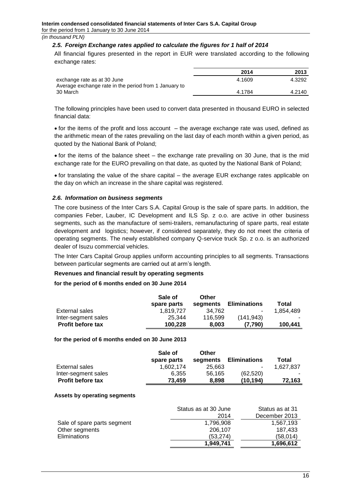#### <span id="page-15-0"></span>*2.5. Foreign Exchange rates applied to calculate the figures for 1 half of 2014*

All financial figures presented in the report in EUR were translated according to the following exchange rates:

|                                                                                      | 2014   | 2013   |
|--------------------------------------------------------------------------------------|--------|--------|
| exchange rate as at 30 June<br>Average exchange rate in the period from 1 January to | 4.1609 | 4.3292 |
| 30 March                                                                             | 4.1784 | 4.2140 |

The following principles have been used to convert data presented in thousand EURO in selected financial data:

 $\bullet$  for the items of the profit and loss account  $-$  the average exchange rate was used, defined as the arithmetic mean of the rates prevailing on the last day of each month within a given period, as quoted by the National Bank of Poland;

 $\bullet$  for the items of the balance sheet – the exchange rate prevailing on 30 June, that is the mid exchange rate for the EURO prevailing on that date, as quoted by the National Bank of Poland;

 $\bullet$  for translating the value of the share capital – the average EUR exchange rates applicable on the day on which an increase in the share capital was registered.

#### <span id="page-15-1"></span>*2.6. Information on business segments*

The core business of the Inter Cars S.A. Capital Group is the sale of spare parts. In addition, the companies Feber, Lauber, IC Development and ILS Sp. z o.o. are active in other business segments, such as the manufacture of semi-trailers, remanufacturing of spare parts, real estate development and logistics; however, if considered separately, they do not meet the criteria of operating segments. The newly established company Q-service truck Sp. z o.o. is an authorized dealer of Isuzu commercial vehicles.

The Inter Cars Capital Group applies uniform accounting principles to all segments. Transactions between particular segments are carried out at arm's length.

#### **Revenues and financial result by operating segments**

#### **for the period of 6 months ended on 30 June 2014**

|                          | Sale of<br>spare parts | Other<br>segments | <b>Eliminations</b> | Total     |
|--------------------------|------------------------|-------------------|---------------------|-----------|
| External sales           | 1.819.727              | 34.762            | ۰                   | 1.854.489 |
| Inter-segment sales      | 25.344                 | 116.599           | (141.943)           |           |
| <b>Profit before tax</b> | 100.228                | 8.003             | (7.790)             | 100.441   |

#### **for the period of 6 months ended on 30 June 2013**

|                          | Sale of     | Other    |                     |           |
|--------------------------|-------------|----------|---------------------|-----------|
|                          | spare parts | segments | <b>Eliminations</b> | Total     |
| External sales           | 1.602.174   | 25.663   | $\blacksquare$      | 1.627.837 |
| Inter-segment sales      | 6.355       | 56.165   | (62, 520)           |           |
| <b>Profit before tax</b> | 73.459      | 8.898    | (10.194)            | 72.163    |

#### **Assets by operating segments**

|                             | Status as at 30 June | Status as at 31 |
|-----------------------------|----------------------|-----------------|
|                             | 2014                 | December 2013   |
| Sale of spare parts segment | 1.796.908            | 1.567.193       |
| Other segments              | 206.107              | 187,433         |
| Eliminations                | (53.274)             | (58.014)        |
|                             | 1.949.741            | 1,696,612       |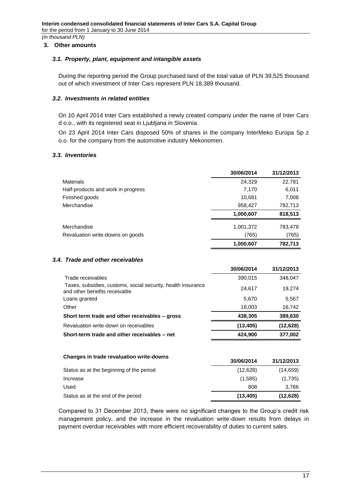### <span id="page-16-0"></span>**3. Other amounts**

#### <span id="page-16-1"></span>*3.1. Property, plant, equipment and intangible assets*

During the reporting period the Group purchased land of the total value of PLN 39,525 thousand out of which investment of Inter Cars represent PLN 18,389 thousand.

#### <span id="page-16-2"></span>*3.2. Investments in related entities*

On 10 April 2014 Inter Cars established a newly created company under the name of Inter Cars d o.o., with its registered seat in Ljubljana in Slovenia.

On 23 April 2014 Inter Cars disposed 50% of shares in the company InterMeko Europa Sp z o.o. for the company from the automotive industry Mekonomen.

#### <span id="page-16-3"></span>*3.3. Inventories*

|                                    | 30/06/2014 | 31/12/2013 |
|------------------------------------|------------|------------|
| <b>Materials</b>                   | 24,329     | 22,781     |
| Half-products and work in progress | 7,170      | 6,011      |
| Finished goods                     | 10,681     | 7,008      |
| Merchandise                        | 958,427    | 782,713    |
|                                    | 1,000,607  | 818,513    |
| Merchandise                        | 1,001,372  | 783,478    |
| Revaluation write-downs on goods   | (765)      | (765)      |
|                                    | 1,000,607  | 782,713    |

### <span id="page-16-4"></span>*3.4. Trade and other receivables*

|                                                                                               | 30/06/2014 | 31/12/2013 |
|-----------------------------------------------------------------------------------------------|------------|------------|
| Trade receivables                                                                             | 390,015    | 348,047    |
| Taxes, subsidies, customs, social security, health insurance<br>and other benefits receivable | 24,617     | 19,274     |
| Loans granted                                                                                 | 5,670      | 5,567      |
| Other                                                                                         | 18,003     | 16,742     |
| Short term trade and other receivables – gross                                                | 438,305    | 389,630    |
| Revaluation write-down on receivables                                                         | (13, 405)  | (12,628)   |
| Short-term trade and other receivables - net                                                  | 424,900    | 377,002    |
|                                                                                               |            |            |
| Changes in trade revaluation write-downs                                                      | 30/06/2014 | 31/12/2013 |
| Status as at the beginning of the period                                                      | (12,628)   | (14, 659)  |
| Increase                                                                                      | (1,585)    | (1,735)    |
| Used                                                                                          | 808        | 3,766      |

Compared to 31 December 2013, there were no significant changes to the Group's credit risk management policy, and the increase in the revaluation write-down results from delays in payment overdue receivables with more efficient recoverability of duties to current sales.

Status as at the end of the period **(13,405) (12,628)**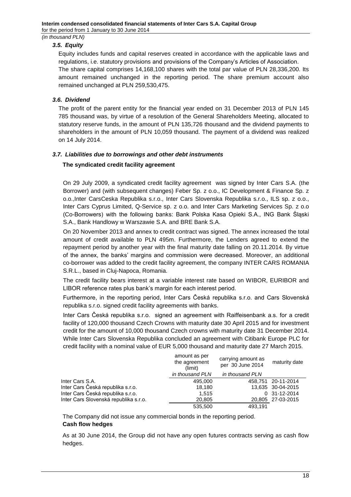# <span id="page-17-0"></span>*3.5. Equity*

Equity includes funds and capital reserves created in accordance with the applicable laws and regulations, i.e. statutory provisions and provisions of the Company's Articles of Association.

The share capital comprises 14,168,100 shares with the total par value of PLN 28,336,200. Its amount remained unchanged in the reporting period. The share premium account also remained unchanged at PLN 259,530,475.

### <span id="page-17-1"></span>*3.6. Dividend*

The profit of the parent entity for the financial year ended on 31 December 2013 of PLN 145 785 thousand was, by virtue of a resolution of the General Shareholders Meeting, allocated to statutory reserve funds, in the amount of PLN 135,726 thousand and the dividend payments to shareholders in the amount of PLN 10,059 thousand. The payment of a dividend was realized on 14 July 2014.

### <span id="page-17-2"></span>*3.7. Liabilities due to borrowings and other debt instruments*

### **The syndicated credit facility agreement**

On 29 July 2009, a syndicated credit facility agreement was signed by [Inter Cars](http://www.bankier.pl/inwestowanie/profile/quote.html?format=detailed&bid=10000000042) S.A. (the Borrower) and (with subsequent changes) Feber Sp. z o.o., IC Development & Finance Sp. z o.o.[,Inter CarsC](http://www.bankier.pl/inwestowanie/profile/quote.html?format=detailed&bid=10000000042)eska Republika s.r.o., [Inter Cars](http://www.bankier.pl/inwestowanie/profile/quote.html?format=detailed&bid=10000000042) Slovenska Republika s.r.o., ILS sp. z o.o., Inter Cars Cyprus Limited, Q-Service sp. z o.o. and Inter Cars Marketing Services Sp. z o.o (Co-Borrowers) with the following banks: Bank Polska Kasa Opieki S.A., ING Bank Śląski S.A., Bank Handlowy w Warszawie S.A. and BRE Bank S.A.

On 20 November 2013 and annex to credit contract was signed. The annex increased the total amount of credit available to PLN 495m. Furthermore, the Lenders agreed to extend the repayment period by another year with the final maturity date falling on 20.11.2014. By virtue of the annex, the banks' margins and commission were decreased. Moreover, an additional co-borrower was added to the credit facility agreement, the company [INTER CARS](http://www.bankier.pl/inwestowanie/profile/quote.html?format=detailed&bid=10000000042) ROMANIA S.R.L., based in Cluj-Napoca, Romania.

The credit facility bears interest at a variable interest rate based on WIBOR, EURIBOR and LIBOR reference rates plus bank's margin for each interest period.

Furthermore, in the reporting period, Inter Cars Česká republika s.r.o. and Cars Slovenská republika s.r.o. signed credit facility agreements with banks.

Inter Cars Česká republika s.r.o. signed an agreement with Raiffeisenbank a.s. for a credit facility of 120,000 thousand Czech Crowns with maturity date 30 April 2015 and for investment credit for the amount of 10,000 thousand Czech crowns with maturity date 31 December 2014. While Inter Cars Slovenska Republika concluded an agreement with Citibank Europe PLC for credit facility with a nominal value of EUR 5,000 thousand and maturity date 27 March 2015.

|                                       | amount as per<br>the agreement<br>(limit) | carrying amount as<br>per 30 June 2014 | maturity date      |
|---------------------------------------|-------------------------------------------|----------------------------------------|--------------------|
|                                       | in thousand PLN                           | in thousand PLN                        |                    |
| Inter Cars S.A.                       | 495,000                                   |                                        | 458.751 20-11-2014 |
| Inter Cars Česká republika s.r.o.     | 18,180                                    |                                        | 13,635 30-04-2015  |
| Inter Cars Česká republika s.r.o.     | 1.515                                     |                                        | 0 31-12-2014       |
| Inter Cars Slovenská republika s.r.o. | 20,805                                    |                                        | 20,805 27-03-2015  |
|                                       | 535,500                                   | 493.191                                |                    |

The Company did not issue any commercial bonds in the reporting period. **Cash flow hedges**

As at 30 June 2014, the Group did not have any open futures contracts serving as cash flow hedges.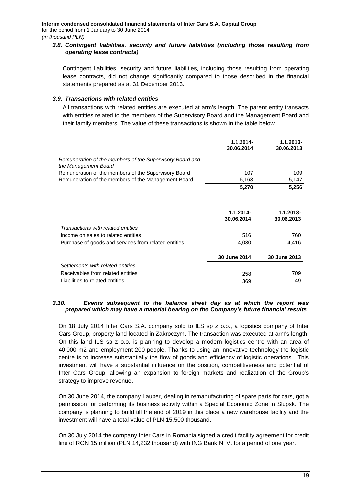## <span id="page-18-0"></span>*3.8. Contingent liabilities, security and future liabilities (including those resulting from operating lease contracts)*

Contingent liabilities, security and future liabilities, including those resulting from operating lease contracts, did not change significantly compared to those described in the financial statements prepared as at 31 December 2013.

#### <span id="page-18-1"></span>*3.9. Transactions with related entities*

All transactions with related entities are executed at arm's length. The parent entity transacts with entities related to the members of the Supervisory Board and the Management Board and their family members. The value of these transactions is shown in the table below.

|                                                                                  | 1.1.2014-<br>30.06.2014    | 1.1.2013-<br>30.06.2013 |
|----------------------------------------------------------------------------------|----------------------------|-------------------------|
| Remuneration of the members of the Supervisory Board and<br>the Management Board |                            |                         |
| Remuneration of the members of the Supervisory Board                             | 107                        | 109                     |
| Remuneration of the members of the Management Board                              | 5,163                      | 5,147                   |
|                                                                                  | 5,270                      | 5,256                   |
|                                                                                  |                            |                         |
|                                                                                  | $1.1.2014 -$<br>30.06.2014 | 1.1.2013-<br>30.06.2013 |
| Transactions with related entities                                               |                            |                         |
| Income on sales to related entities                                              | 516                        | 760                     |
| Purchase of goods and services from related entities                             | 4,030                      | 4,416                   |
|                                                                                  | 30 June 2014               | 30 June 2013            |
| Settlements with related entities                                                |                            |                         |
| Receivables from related entities                                                | 258                        | 709                     |
| Liabilities to related entities                                                  | 369                        | 49                      |

#### <span id="page-18-2"></span>*3.10. Events subsequent to the balance sheet day as at which the report was prepared which may have a material bearing on the Company's future financial results*

On 18 July 2014 Inter Cars S.A. company sold to ILS sp z o.o., a logistics company of Inter Cars Group, property land located in Zakroczym. The transaction was executed at arm's length. On this land ILS sp z o.o. is planning to develop a modern logistics centre with an area of 40,000 m2 and employment 200 people. Thanks to using an innovative technology the logistic centre is to increase substantially the flow of goods and efficiency of logistic operations. This investment will have a substantial influence on the position, competitiveness and potential of Inter Cars Group, allowing an expansion to foreign markets and realization of the Group's strategy to improve revenue.

On 30 June 2014, the company Lauber, dealing in remanufacturing of spare parts for cars, got a permission for performing its business activity within a Special Economic Zone in Slupsk. The company is planning to build till the end of 2019 in this place a new warehouse facility and the investment will have a total value of PLN 15,500 thousand.

On 30 July 2014 the company Inter Cars in Romania signed a credit facility agreement for credit line of RON 15 million (PLN 14,232 thousand) with ING Bank N. V. for a period of one year.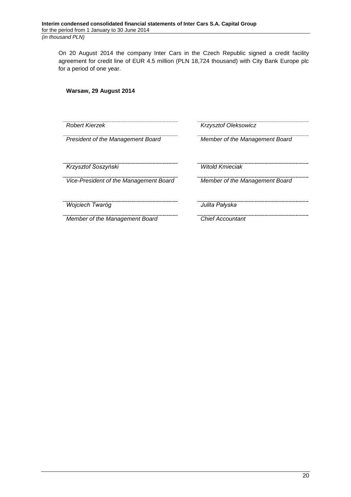On 20 August 2014 the company Inter Cars in the Czech Republic signed a credit facility agreement for credit line of EUR 4.5 million (PLN 18,724 thousand) with City Bank Europe plc for a period of one year.

# **Warsaw, 29 August 2014**

| Robert Kierzek                         | <b>Krzysztof Oleksowicz</b>    |
|----------------------------------------|--------------------------------|
| President of the Management Board      | Member of the Management Board |
| Krzysztof Soszyński                    | <b>Witold Kmieciak</b>         |
| Vice-President of the Management Board | Member of the Management Board |
| Wojciech Twaróg                        | Julita Pałyska                 |
| Member of the Management Board         | <b>Chief Accountant</b>        |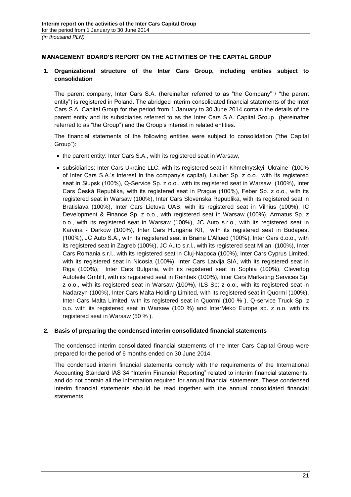# <span id="page-20-0"></span>**MANAGEMENT BOARD'S REPORT ON THE ACTIVITIES OF THE CAPITAL GROUP**

# <span id="page-20-1"></span>**1. Organizational structure of the Inter Cars Group, including entities subject to consolidation**

The parent company, Inter Cars S.A. (hereinafter referred to as "the Company" / "the parent entity") is registered in Poland. The abridged interim consolidated financial statements of the Inter Cars S.A. Capital Group for the period from 1 January to 30 June 2014 contain the details of the parent entity and its subsidiaries referred to as the Inter Cars S.A. Capital Group (hereinafter referred to as "the Group") and the Group's interest in related entities.

The financial statements of the following entities were subject to consolidation ("the Capital Group"):

- the parent entity: Inter Cars S.A., with its registered seat in Warsaw,
- subsidiaries: Inter Cars Ukraine LLC, with its registered seat in Khmelnytskyi, Ukraine (100% of Inter Cars S.A.'s interest in the company's capital), Lauber Sp. z o.o., with its registered seat in Słupsk (100%), Q-Service Sp. z o.o., with its registered seat in Warsaw (100%), Inter Cars Česká Republika, with its registered seat in Prague (100%), Feber Sp. z o.o., with its registered seat in Warsaw (100%), Inter Cars Slovenska Republika, with its registered seat in Bratislava (100%), Inter Cars Lietuva UAB, with its registered seat in Vilnius (100%), IC Development & Finance Sp. z o.o., with registered seat in Warsaw (100%), Armatus Sp. z o.o., with its registered seat in Warsaw (100%), JC Auto s.r.o., with its registered seat in Karvina - Darkow (100%), Inter Cars Hungária Kft, with its registered seat in Budapest (100%), JC Auto S.A., with its registered seat in Braine L'Allued (100%), Inter Cars d.o.o., with its registered seat in Zagreb (100%), JC Auto s.r.l., with its registered seat Milan (100%), Inter Cars Romania s.r.l., with its registered seat in Cluj-Napoca (100%), Inter Cars Cyprus Limited, with its registered seat in Nicosia (100%), Inter Cars Latvija SIA, with its registered seat in Riga (100%), Inter Cars Bulgaria, with its registered seat in Sophia (100%), Cleverlog Autoteile GmbH, with its registered seat in Reinbek (100%), Inter Cars Marketing Services Sp. z o.o., with its registered seat in Warsaw (100%), ILS Sp; z o.o., with its registered seat in Nadarzyn (100%), Inter Cars Malta Holding Limited, with its registered seat in Quormi (100%), Inter Cars Malta Limited, with its registered seat in Quormi (100 % ), Q-service Truck Sp. z o.o. with its registered seat in Warsaw (100 %) and InterMeko Europe sp. z o.o. with its registered seat in Warsaw (50 % ).

### <span id="page-20-2"></span>**2. Basis of preparing the condensed interim consolidated financial statements**

The condensed interim consolidated financial statements of the Inter Cars Capital Group were prepared for the period of 6 months ended on 30 June 2014.

The condensed interim financial statements comply with the requirements of the International Accounting Standard IAS 34 "Interim Financial Reporting" related to interim financial statements, and do not contain all the information required for annual financial statements. These condensed interim financial statements should be read together with the annual consolidated financial statements.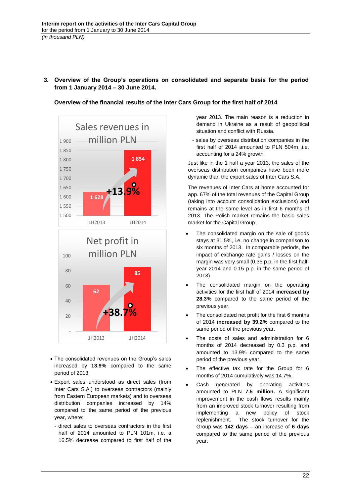<span id="page-21-0"></span>**3. Overview of the Group's operations on consolidated and separate basis for the period from 1 January 2014 – 30 June 2014.** 



**Overview of the financial results of the Inter Cars Group for the first half of 2014**

year 2013. The main reason is a reduction in demand in Ukraine as a result of geopolitical situation and conflict with Russia.

- sales by overseas distribution companies in the first half of 2014 amounted to PLN 504m ,i.e. accounting for a 24% growth

Just like in the 1 half a year 2013, the sales of the overseas distribution companies have been more dynamic than the export sales of Inter Cars S.A.

The revenues of Inter Cars at home accounted for app. 67% of the total revenues of the Capital Group (taking into account consolidation exclusions) and remains at the same level as in first 6 months of 2013. The Polish market remains the basic sales market for the Capital Group.

- The consolidated margin on the sale of goods stays at 31.5%, i.e. no change in comparison to six months of 2013. In comparable periods, the impact of exchange rate gains / losses on the margin was very small (0.35 p.p. in the first halfyear 2014 and 0.15 p.p. in the same period of 2013).
- The consolidated margin on the operating activities for the first half of 2014 **increased by 28.3%** compared to the same period of the previous year.
- The consolidated net profit for the first 6 months of 2014 **increased by 39.2%** compared to the same period of the previous year.
- The costs of sales and administration for 6 months of 2014 decreased by 0.3 p.p. and amounted to 13.9% compared to the same period of the previous year.
- The effective tax rate for the Group for 6 months of 2014 cumulatively was 14.7%.
- Cash generated by operating activities amounted to PLN **7.5 million.** A significant improvement in the cash flows results mainly from an improved stock turnover resulting from implementing a new policy of stock replenishment. The stock turnover for the Group was **142 days** – an increase of **6 days** compared to the same period of the previous year.
- The consolidated revenues on the Group's sales increased by **13.9%** compared to the same period of 2013.
- Export sales understood as direct sales (from Inter Cars S.A.) to overseas contractors (mainly from Eastern European markets) and to overseas distribution companies increased by 14% compared to the same period of the previous year, where:
	- direct sales to overseas contractors in the first half of 2014 amounted to PLN 101m, i.e. a 16.5% decrease compared to first half of the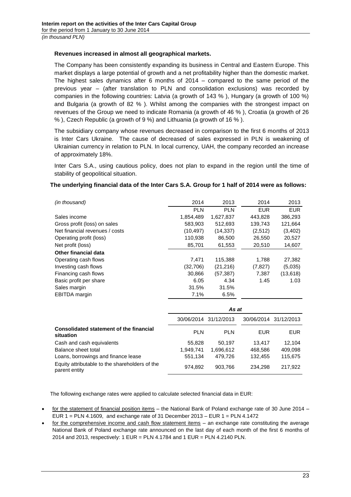# **Revenues increased in almost all geographical markets.**

The Company has been consistently expanding its business in Central and Eastern Europe. This market displays a large potential of growth and a net profitability higher than the domestic market. The highest sales dynamics after 6 months of 2014 – compared to the same period of the previous year – (after translation to PLN and consolidation exclusions) was recorded by companies in the following countries: Latvia (a growth of 143 % ), Hungary (a growth of 100 %) and Bulgaria (a growth of 82 % ). Whilst among the companies with the strongest impact on revenues of the Group we need to indicate Romania (a growth of 46 % ), Croatia (a growth of 26 % ), Czech Republic (a growth of 9 %) and Lithuania (a growth of 16 % ).

The subsidiary company whose revenues decreased in comparison to the first 6 months of 2013 is Inter Cars Ukraine. The cause of decreased of sales expressed in PLN is weakening of Ukrainian currency in relation to PLN. In local currency, UAH, the company recorded an increase of approximately 18%.

Inter Cars S.A., using cautious policy, does not plan to expand in the region until the time of stability of geopolitical situation.

# **The underlying financial data of the Inter Cars S.A. Group for 1 half of 2014 were as follows:**

| (in thousand)                  | 2014       | 2013       | 2014       | 2013       |
|--------------------------------|------------|------------|------------|------------|
|                                | <b>PLN</b> | <b>PLN</b> | <b>EUR</b> | <b>EUR</b> |
| Sales income                   | 1,854,489  | 1,627,837  | 443,828    | 386,293    |
| Gross profit (loss) on sales   | 583,903    | 512,693    | 139,743    | 121,664    |
| Net financial revenues / costs | (10, 497)  | (14, 337)  | (2,512)    | (3, 402)   |
| Operating profit (loss)        | 110,938    | 86,500     | 26,550     | 20,527     |
| Net profit (loss)              | 85,701     | 61,553     | 20,510     | 14,607     |
| Other financial data           |            |            |            |            |
| Operating cash flows           | 7,471      | 115,388    | 1,788      | 27,382     |
| Investing cash flows           | (32,706)   | (21, 216)  | (7, 827)   | (5,035)    |
| Financing cash flows           | 30,866     | (57,387)   | 7,387      | (13, 618)  |
| Basic profit per share         | 6.05       | 4.34       | 1.45       | 1.03       |
| Sales margin                   | 31.5%      | 31.5%      |            |            |
| <b>EBITDA</b> margin           | 7.1%       | 6.5%       |            |            |
|                                |            |            |            |            |
|                                |            | As at      |            |            |

|                                                                 | ma al      |                       |                       |         |
|-----------------------------------------------------------------|------------|-----------------------|-----------------------|---------|
|                                                                 |            | 30/06/2014 31/12/2013 | 30/06/2014 31/12/2013 |         |
| Consolidated statement of the financial<br>situation            | <b>PLN</b> | <b>PLN</b>            | EUR                   | EUR     |
| Cash and cash equivalents                                       | 55,828     | 50.197                | 13.417                | 12.104  |
| Balance sheet total                                             | 1.949.741  | 1,696,612             | 468,586               | 409,098 |
| Loans, borrowings and finance lease                             | 551,134    | 479.726               | 132.455               | 115,675 |
| Equity attributable to the shareholders of the<br>parent entity | 974,892    | 903.766               | 234.298               | 217.922 |

The following exchange rates were applied to calculate selected financial data in EUR:

- for the statement of financial position items the National Bank of Poland exchange rate of 30 June 2014 EUR 1 = PLN 4.1609, and exchange rate of 31 December 2013 – EUR 1 = PLN 4.1472
- for the comprehensive income and cash flow statement items an exchange rate constituting the average National Bank of Poland exchange rate announced on the last day of each month of the first 6 months of 2014 and 2013, respectively: 1 EUR = PLN 4.1784 and 1 EUR = PLN 4.2140 PLN.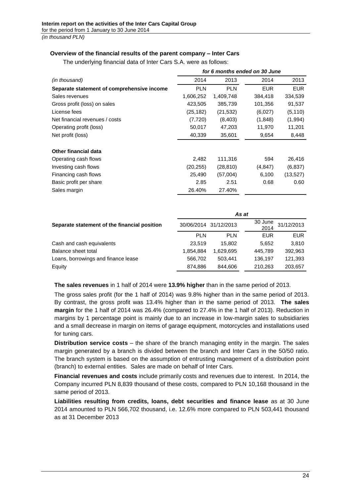# **Overview of the financial results of the parent company – Inter Cars**

|                                            | for 6 months ended on 30 June |            |            |            |
|--------------------------------------------|-------------------------------|------------|------------|------------|
| (in thousand)                              | 2014                          | 2013       | 2014       | 2013       |
| Separate statement of comprehensive income | <b>PLN</b>                    | <b>PLN</b> | <b>EUR</b> | <b>EUR</b> |
| Sales revenues                             | 1,606,252                     | 1,409,748  | 384,418    | 334,539    |
| Gross profit (loss) on sales               | 423,505                       | 385,739    | 101,356    | 91,537     |
| License fees                               | (25, 182)                     | (21, 532)  | (6,027)    | (5, 110)   |
| Net financial revenues / costs             | (7, 720)                      | (8, 403)   | (1,848)    | (1,994)    |
| Operating profit (loss)                    | 50,017                        | 47,203     | 11,970     | 11,201     |
| Net profit (loss)                          | 40,339                        | 35,601     | 9,654      | 8,448      |
| Other financial data                       |                               |            |            |            |
| Operating cash flows                       | 2,482                         | 111,316    | 594        | 26,416     |
| Investing cash flows                       | (20, 255)                     | (28, 810)  | (4, 847)   | (6, 837)   |
| Financing cash flows                       | 25,490                        | (57,004)   | 6,100      | (13, 527)  |
| Basic profit per share                     | 2.85                          | 2.51       | 0.68       | 0.60       |
| Sales margin                               | 26.40%                        | 27.40%     |            |            |

The underlying financial data of Inter Cars S.A. were as follows:

|                                              | As at                 |            |                 |            |
|----------------------------------------------|-----------------------|------------|-----------------|------------|
| Separate statement of the financial position | 30/06/2014 31/12/2013 |            | 30 June<br>2014 | 31/12/2013 |
|                                              | <b>PLN</b>            | <b>PLN</b> | EUR             | <b>EUR</b> |
| Cash and cash equivalents                    | 23.519                | 15.802     | 5.652           | 3,810      |
| Balance sheet total                          | 1.854.884             | 1.629.695  | 445,789         | 392,963    |
| Loans, borrowings and finance lease          | 566.702               | 503.441    | 136.197         | 121,393    |
| Equity                                       | 874,886               | 844.606    | 210,263         | 203,657    |

**The sales revenues** in 1 half of 2014 were **13.9% higher** than in the same period of 2013.

The gross sales profit (for the 1 half of 2014) was 9.8% higher than in the same period of 2013. By contrast, the gross profit was 13.4% higher than in the same period of 2013. **The sales margin** for the 1 half of 2014 was 26.4% (compared to 27.4% in the 1 half of 2013). Reduction in margins by 1 percentage point is mainly due to an increase in low-margin sales to subsidiaries and a small decrease in margin on items of garage equipment, motorcycles and installations used for tuning cars.

**Distribution service costs** – the share of the branch managing entity in the margin. The sales margin generated by a branch is divided between the branch and Inter Cars in the 50/50 ratio. The branch system is based on the assumption of entrusting management of a distribution point (branch) to external entities. Sales are made on behalf of Inter Cars.

**Financial revenues and costs** include primarily costs and revenues due to interest. In 2014, the Company incurred PLN 8,839 thousand of these costs, compared to PLN 10,168 thousand in the same period of 2013.

**Liabilities resulting from credits, loans, debt securities and finance lease** as at 30 June 2014 amounted to PLN 566,702 thousand, i.e. 12.6% more compared to PLN 503,441 thousand as at 31 December 2013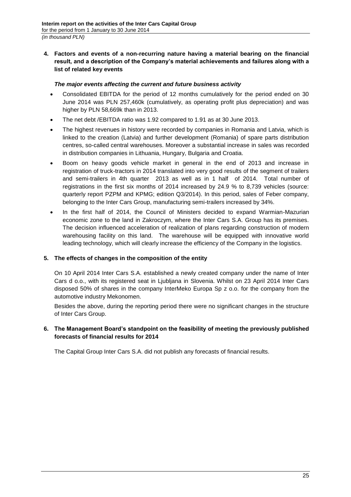<span id="page-24-0"></span>**4. Factors and events of a non-recurring nature having a material bearing on the financial result, and a description of the Company's material achievements and failures along with a list of related key events**

# *The major events affecting the current and future business activity*

- Consolidated EBITDA for the period of 12 months cumulatively for the period ended on 30 June 2014 was PLN 257,460k (cumulatively, as operating profit plus depreciation) and was higher by PLN 58,669k than in 2013.
- The net debt /EBITDA ratio was 1.92 compared to 1.91 as at 30 June 2013.
- The highest revenues in history were recorded by companies in Romania and Latvia, which is linked to the creation (Latvia) and further development (Romania) of spare parts distribution centres, so-called central warehouses. Moreover a substantial increase in sales was recorded in distribution companies in Lithuania, Hungary, Bulgaria and Croatia.
- Boom on heavy goods vehicle market in general in the end of 2013 and increase in registration of truck-tractors in 2014 translated into very good results of the segment of trailers and semi-trailers in 4th quarter 2013 as well as in 1 half of 2014. Total number of registrations in the first six months of 2014 increased by 24.9 % to 8,739 vehicles (source: quarterly report PZPM and KPMG; edition Q3/2014). In this period, sales of Feber company, belonging to the Inter Cars Group, manufacturing semi-trailers increased by 34%.
- In the first half of 2014, the Council of Ministers decided to expand Warmian-Mazurian economic zone to the land in Zakroczym, where the Inter Cars S.A. Group has its premises. The decision influenced acceleration of realization of plans regarding construction of modern warehousing facility on this land. The warehouse will be equipped with innovative world leading technology, which will clearly increase the efficiency of the Company in the logistics.

# <span id="page-24-1"></span>**5. The effects of changes in the composition of the entity**

On 10 April 2014 Inter Cars S.A. established a newly created company under the name of Inter Cars d o.o., with its registered seat in Ljubljana in Slovenia. Whilst on 23 April 2014 Inter Cars disposed 50% of shares in the company InterMeko Europa Sp z o.o. for the company from the automotive industry Mekonomen.

Besides the above, during the reporting period there were no significant changes in the structure of Inter Cars Group.

# <span id="page-24-2"></span>**6. The Management Board's standpoint on the feasibility of meeting the previously published forecasts of financial results for 2014**

The Capital Group Inter Cars S.A. did not publish any forecasts of financial results.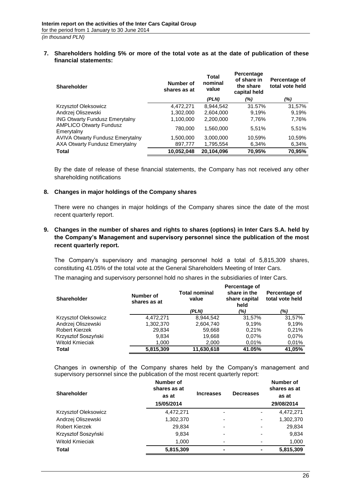#### <span id="page-25-0"></span>**7. Shareholders holding 5% or more of the total vote as at the date of publication of these financial statements:**

| <b>Shareholder</b>                           | Number of<br>shares as at | <b>Total</b><br>nominal<br>value | Percentage<br>of share in<br>the share<br>capital held | Percentage of<br>total vote held |
|----------------------------------------------|---------------------------|----------------------------------|--------------------------------------------------------|----------------------------------|
|                                              |                           | (PLN)                            | (%)                                                    | (%)                              |
| Krzysztof Oleksowicz                         | 4,472,271                 | 8,944,542                        | 31.57%                                                 | 31,57%                           |
| Andrzej Oliszewski                           | 1,302,000                 | 2,604,000                        | 9.19%                                                  | 9.19%                            |
| <b>ING Otwarty Fundusz Emerytalny</b>        | 1,100,000                 | 2,200,000                        | 7,76%                                                  | 7,76%                            |
| <b>AMPLICO Otwarty Fundusz</b><br>Emerytalny | 780,000                   | 1.560.000                        | 5.51%                                                  | 5,51%                            |
| <b>AVIVA Otwarty Fundusz Emerytalny</b>      | 1,500,000                 | 3,000,000                        | 10,59%                                                 | 10,59%                           |
| AXA Otwarty Fundusz Emerytalny               | 897,777                   | 1,795,554                        | 6,34%                                                  | 6,34%                            |
| <b>Total</b>                                 | 10,052,048                | 20,104,096                       | 70,95%                                                 | 70,95%                           |

By the date of release of these financial statements, the Company has not received any other shareholding notifications

#### <span id="page-25-1"></span>**8. Changes in major holdings of the Company shares**

There were no changes in major holdings of the Company shares since the date of the most recent quarterly report.

# <span id="page-25-2"></span>**9. Changes in the number of shares and rights to shares (options) in Inter Cars S.A. held by the Company's Management and supervisory personnel since the publication of the most recent quarterly report.**

The Company's supervisory and managing personnel hold a total of 5,815,309 shares, constituting 41.05% of the total vote at the General Shareholders Meeting of Inter Cars.

The managing and supervisory personnel hold no shares in the subsidiaries of Inter Cars.

| <b>Shareholder</b>          | Number of<br>shares as at | <b>Total nominal</b><br>value | Percentage of<br>share in the<br>share capital<br>held | Percentage of<br>total vote held |
|-----------------------------|---------------------------|-------------------------------|--------------------------------------------------------|----------------------------------|
|                             |                           | (PLN)                         | (%)                                                    | (%)                              |
| <b>Krzysztof Oleksowicz</b> | 4.472.271                 | 8.944.542                     | 31.57%                                                 | 31.57%                           |
| Andrzej Oliszewski          | 1,302,370                 | 2,604,740                     | 9.19%                                                  | 9,19%                            |
| Robert Kierzek              | 29,834                    | 59,668                        | 0.21%                                                  | 0,21%                            |
| Krzysztof Soszyński         | 9,834                     | 19,668                        | $0.07\%$                                               | 0.07%                            |
| <b>Witold Kmieciak</b>      | 1,000                     | 2,000                         | 0.01%                                                  | 0,01%                            |
| Total                       | 5,815,309                 | 11,630,618                    | 41.05%                                                 | 41,05%                           |

Changes in ownership of the Company shares held by the Company's management and supervisory personnel since the publication of the most recent quarterly report:

| <b>Shareholder</b>   | Number of<br>shares as at<br>as at<br>15/05/2014 | <b>Increases</b>         | <b>Decreases</b>         | <b>Number of</b><br>shares as at<br>as at<br>29/08/2014 |
|----------------------|--------------------------------------------------|--------------------------|--------------------------|---------------------------------------------------------|
| Krzysztof Oleksowicz | 4,472,271                                        | $\overline{\phantom{a}}$ | -                        | 4,472,271                                               |
| Andrzej Oliszewski   | 1,302,370                                        | $\overline{\phantom{0}}$ | $\blacksquare$           | 1,302,370                                               |
| Robert Kierzek       | 29,834                                           | ٠                        | -                        | 29,834                                                  |
| Krzysztof Soszyński  | 9,834                                            | $\overline{\phantom{0}}$ | $\overline{\phantom{0}}$ | 9,834                                                   |
| Witold Kmieciak      | 1,000                                            | ٠                        |                          | 1,000                                                   |
| Total                | 5,815,309                                        | $\blacksquare$           |                          | 5,815,309                                               |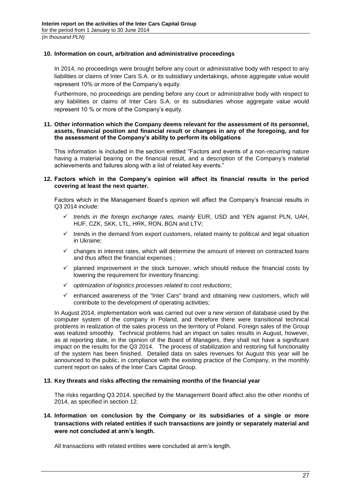#### <span id="page-26-0"></span>**10. Information on court, arbitration and administrative proceedings**

In 2014, no proceedings were brought before any court or administrative body with respect to any liabilities or claims of Inter Cars S.A. or its subsidiary undertakings, whose aggregate value would represent 10% or more of the Company's equity.

Furthermore, no proceedings are pending before any court or administrative body with respect to any liabilities or claims of Inter Cars S.A. or its subsidiaries whose aggregate value would represent 10 % or more of the Company's equity.

#### <span id="page-26-1"></span>**11. Other information which the Company deems relevant for the assessment of its personnel, assets, financial position and financial result or changes in any of the foregoing, and for the assessment of the Company's ability to perform its obligations**

This information is included in the section entitled "Factors and events of a non-recurring nature having a material bearing on the financial result, and a description of the Company's material achievements and failures along with a list of related key events."

#### <span id="page-26-2"></span>**12. Factors which in the Company's opinion will affect its financial results in the period covering at least the next quarter.**

Factors which in the Management Board's opinion will affect the Company's financial results in Q3 2014 include:

- *trends in the foreign exchange rates, mainly* EUR, USD and YEN against PLN, UAH, HUF, CZK, SKK, LTL, HRK, RON, BGN and LTV;
- $\checkmark$  trends in the demand from export customers, related mainly to political and legal situation in Ukraine;
- $\checkmark$  changes in interest rates, which will determine the amount of interest on contracted loans and thus affect the financial expenses ;
- $\checkmark$  planned improvement in the stock turnover, which should reduce the financial costs by lowering the requirement for inventory financing;
- *optimization of logistics processes related to cost reductions*;
- $\checkmark$  enhanced awareness of the "Inter Cars" brand and obtaining new customers, which will contribute to the development of operating activities;

In August 2014, implementation work was carried out over a new version of database used by the computer system of the company in Poland, and therefore there were transitional technical problems in realization of the sales process on the territory of Poland. Foreign sales of the Group was realized smoothly. Technical problems had an impact on sales results in August, however, as at reporting date, in the opinion of the Board of Managers, they shall not have a significant impact on the results for the Q3 2014. The process of stabilization and restoring full functionality of the system has been finished. Detailed data on sales revenues for August this year will be announced to the public, in compliance with the existing practice of the Company, in the monthly current report on sales of the Inter Cars Capital Group.

#### <span id="page-26-3"></span>**13. Key threats and risks affecting the remaining months of the financial year**

The risks regarding Q3 2014, specified by the Management Board affect also the other months of 2014, as specified in section 12.

# <span id="page-26-4"></span>**14. Information on conclusion by the Company or its subsidiaries of a single or more transactions with related entities if such transactions are jointly or separately material and were not concluded at arm's length.**

All transactions with related entities were concluded at arm's length.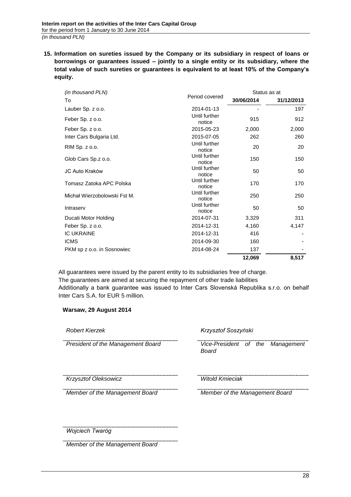<span id="page-27-0"></span>**15. Information on sureties issued by the Company or its subsidiary in respect of loans or borrowings or guarantees issued – jointly to a single entity or its subsidiary, where the total value of such sureties or guarantees is equivalent to at least 10% of the Company's equity.** 

| (in thousand PLN)            |                         |            | Status as at |  |
|------------------------------|-------------------------|------------|--------------|--|
| To                           | Period covered          | 30/06/2014 | 31/12/2013   |  |
| Lauber Sp. z o.o.            | 2014-01-13              |            | 197          |  |
| Feber Sp. z o.o.             | Until further<br>notice | 915        | 912          |  |
| Feber Sp. z o.o.             | 2015-05-23              | 2,000      | 2,000        |  |
| Inter Cars Bulgaria Ltd.     | 2015-07-05              | 262        | 260          |  |
| RIM Sp. z o.o.               | Until further<br>notice | 20         | 20           |  |
| Glob Cars Sp.z o.o.          | Until further<br>notice | 150        | 150          |  |
| JC Auto Kraków               | Until further<br>notice | 50         | 50           |  |
| Tomasz Zatoka APC Polska     | Until further<br>notice | 170        | 170          |  |
| Michał Wierzobolowski Fst M. | Until further<br>notice | 250        | 250          |  |
| Intraserv                    | Until further<br>notice | 50         | 50           |  |
| Ducati Motor Holding         | 2014-07-31              | 3,329      | 311          |  |
| Feber Sp. z o.o.             | 2014-12-31              | 4,160      | 4,147        |  |
| <b>IC UKRAINE</b>            | 2014-12-31              | 416        |              |  |
| <b>ICMS</b>                  | 2014-09-30              | 160        |              |  |
| PKM sp z o.o. in Sosnowiec   | 2014-08-24              | 137        |              |  |
|                              |                         | 12,069     | 8,517        |  |

All guarantees were issued by the parent entity to its subsidiaries free of charge. The guarantees are aimed at securing the repayment of other trade liabilities Additionally a bank guarantee was issued to Inter Cars Slovenská Republika s.r.o. on behalf Inter Cars S.A. for EUR 5 million.

### **Warsaw, 29 August 2014**

*Member of the Management Board*

| <b>Robert Kierzek</b>             | Krzysztof Soszyński                       |
|-----------------------------------|-------------------------------------------|
| President of the Management Board | Vice-President of the Management<br>Board |
| Krzysztof Oleksowicz              | <b>Witold Kmieciak</b>                    |
| Member of the Management Board    | Member of the Management Board            |
|                                   |                                           |
| Wojciech Twaróg                   |                                           |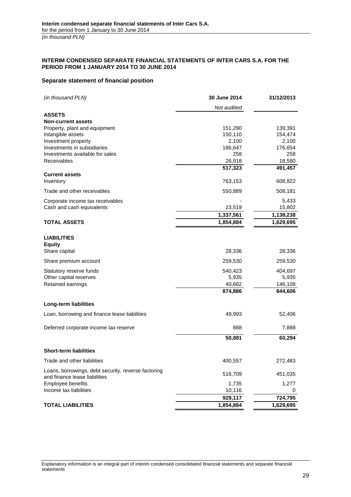#### <span id="page-28-0"></span>**INTERIM CONDENSED SEPARATE FINANCIAL STATEMENTS OF INTER CARS S.A. FOR THE PERIOD FROM 1 JANUARY 2014 TO 30 JUNE 2014**

#### <span id="page-28-1"></span>**Separate statement of financial position**

| (in thousand PLN)                                   | 30 June 2014 | 31/12/2013 |
|-----------------------------------------------------|--------------|------------|
|                                                     | Not audited  |            |
| <b>ASSETS</b>                                       |              |            |
| <b>Non-current assets</b>                           |              |            |
| Property, plant and equipment                       | 151,290      | 139,391    |
| Intangible assets                                   | 150,110      | 154,474    |
| Investment property                                 | 2,100        | 2,100      |
| Investments in subsidiaries                         | 186,647      | 176,654    |
| Investments available for sales                     | 258          | 258        |
| Receivables                                         | 26,918       | 18,580     |
|                                                     | 517,323      | 491,457    |
| <b>Current assets</b>                               |              |            |
| Inventory                                           | 763,153      | 608,822    |
| Trade and other receivables                         | 550,889      | 508,181    |
| Corporate income tax receivables                    |              | 5,433      |
| Cash and cash equivalents                           | 23,519       | 15,802     |
|                                                     | 1,337,561    | 1,138,238  |
| <b>TOTAL ASSETS</b>                                 | 1,854,884    | 1,629,695  |
|                                                     |              |            |
| <b>LIABILITIES</b>                                  |              |            |
| <b>Equity</b>                                       |              |            |
| Share capital                                       | 28,336       | 28,336     |
| Share premium account                               | 259,530      | 259,530    |
| Statutory reserve funds                             | 540,423      | 404,697    |
| Other capital reserves                              | 5,935        | 5,935      |
| Retained earnings                                   | 40,662       | 146,108    |
|                                                     | 874,886      | 844,606    |
| Long-term liabilities                               |              |            |
| Loan, borrowing and finance lease liabilities       | 49,993       | 52,406     |
| Deferred corporate income tax reserve               | 888          | 7,888      |
|                                                     |              |            |
|                                                     | 50,881       | 60,294     |
| <b>Short-term liabilities</b>                       |              |            |
| Trade and other liabilities                         | 400,557      | 272,483    |
| Loans, borrowings, debt security, reverse factoring | 516,709      | 451,035    |
| and finance lease liabilities                       |              |            |
| Employee benefits                                   | 1,735        | 1,277      |
| Income tax liabilities                              | 10,116       | 0          |
|                                                     | 929,117      | 724,795    |
| <b>TOTAL LIABILITIES</b>                            | 1,854,884    | 1,629,695  |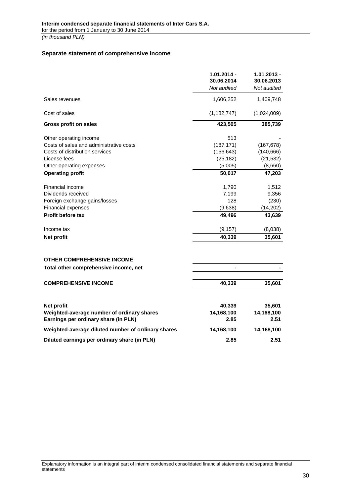#### <span id="page-29-0"></span>**Separate statement of comprehensive income**

|                                                    | $1.01.2014 -$<br>30.06.2014 | $1.01.2013 -$<br>30.06.2013 |
|----------------------------------------------------|-----------------------------|-----------------------------|
|                                                    | Not audited                 | Not audited                 |
| Sales revenues                                     | 1,606,252                   | 1,409,748                   |
| Cost of sales                                      | (1, 182, 747)               | (1,024,009)                 |
| Gross profit on sales                              | 423,505                     | 385,739                     |
| Other operating income                             | 513                         |                             |
| Costs of sales and administrative costs            | (187, 171)                  | (167, 678)                  |
| Costs of distribution services                     | (156, 643)                  | (140, 666)                  |
| License fees                                       | (25, 182)                   | (21, 532)                   |
| Other operating expenses                           | (5,005)                     | (8,660)                     |
| <b>Operating profit</b>                            | 50,017                      | 47,203                      |
| Financial income                                   | 1,790                       | 1,512                       |
| Dividends received                                 | 7,199                       | 9,356                       |
| Foreign exchange gains/losses                      | 128                         | (230)                       |
| <b>Financial expenses</b>                          | (9,638)                     | (14, 202)                   |
| <b>Profit before tax</b>                           | 49,496                      | 43,639                      |
| Income tax                                         | (9, 157)                    | (8,038)                     |
| <b>Net profit</b>                                  | 40,339                      | 35,601                      |
|                                                    |                             |                             |
| <b>OTHER COMPREHENSIVE INCOME</b>                  |                             |                             |
| Total other comprehensive income, net              |                             |                             |
| <b>COMPREHENSIVE INCOME</b>                        | 40,339                      | 35,601                      |
|                                                    |                             |                             |
| Net profit                                         | 40,339                      | 35,601                      |
| Weighted-average number of ordinary shares         | 14,168,100                  | 14,168,100                  |
| Earnings per ordinary share (in PLN)               | 2.85                        | 2.51                        |
| Weighted-average diluted number of ordinary shares | 14,168,100                  | 14,168,100                  |
| Diluted earnings per ordinary share (in PLN)       | 2.85                        | 2.51                        |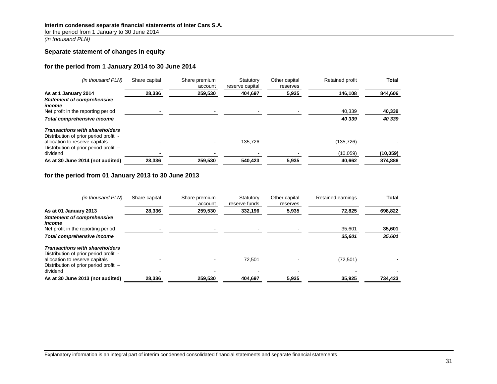#### **Interim condensed separate financial statements of Inter Cars S.A.**

for the period from 1 January to 30 June 2014

*(in thousand PLN)*

#### **Separate statement of changes in equity**

#### **for the period from 1 January 2014 to 30 June 2014**

| (in thousand PLN)                                                                                                | Share capital | Share premium<br>account | Statutory<br>reserve capital | Other capital<br>reserves | Retained profit | Total     |
|------------------------------------------------------------------------------------------------------------------|---------------|--------------------------|------------------------------|---------------------------|-----------------|-----------|
| As at 1 January 2014<br><b>Statement of comprehensive</b>                                                        | 28,336        | 259,530                  | 404,697                      | 5,935                     | 146,108         | 844,606   |
| income<br>Net profit in the reporting period                                                                     |               |                          |                              |                           | 40,339          | 40,339    |
| Total comprehensive income                                                                                       |               |                          |                              |                           | 40 339          | 40 339    |
| <b>Transactions with shareholders</b><br>Distribution of prior period profit -<br>allocation to reserve capitals |               |                          | 135.726                      |                           | (135, 726)      |           |
| Distribution of prior period profit -<br>dividend                                                                |               |                          |                              |                           | (10,059)        | (10, 059) |
| As at 30 June 2014 (not audited)                                                                                 | 28.336        | 259.530                  | 540.423                      | 5.935                     | 40.662          | 874.886   |

#### **for the period from 01 January 2013 to 30 June 2013**

<span id="page-30-0"></span>

| (in thousand PLN)                                                                                                | Share capital | Share premium<br>account | Statutory<br>reserve funds | Other capital<br>reserves | Retained earnings | <b>Total</b> |
|------------------------------------------------------------------------------------------------------------------|---------------|--------------------------|----------------------------|---------------------------|-------------------|--------------|
| As at 01 January 2013<br><b>Statement of comprehensive</b><br>income                                             | 28,336        | 259,530                  | 332,196                    | 5,935                     | 72,825            | 698,822      |
| Net profit in the reporting period                                                                               |               |                          |                            |                           | 35.601            | 35,601       |
| Total comprehensive income                                                                                       |               |                          |                            |                           | 35,601            | 35,601       |
| <b>Transactions with shareholders</b><br>Distribution of prior period profit -<br>allocation to reserve capitals |               |                          | 72.501                     |                           | (72, 501)         |              |
| Distribution of prior period profit -<br>dividend<br>As at 30 June 2013 (not audited)                            | 28,336        | 259.530                  | 404.697                    | 5,935                     | 35.925            | 734,423      |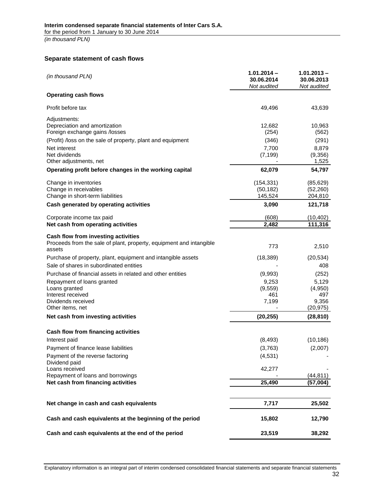# **Separate statement of cash flows**

<span id="page-31-0"></span>

| (in thousand PLN)                                                             | $1.01.2014 -$<br>30.06.2014<br>Not audited | $1.01.2013 -$<br>30.06.2013<br>Not audited |
|-------------------------------------------------------------------------------|--------------------------------------------|--------------------------------------------|
| <b>Operating cash flows</b>                                                   |                                            |                                            |
| Profit before tax                                                             | 49,496                                     | 43,639                                     |
| Adjustments:                                                                  |                                            |                                            |
| Depreciation and amortization<br>Foreign exchange gains /losses               | 12,682<br>(254)                            | 10,963<br>(562)                            |
| (Profit) /loss on the sale of property, plant and equipment                   | (346)                                      | (291)                                      |
| Net interest                                                                  | 7,700                                      | 8,879                                      |
| Net dividends                                                                 | (7, 199)                                   | (9,356)                                    |
| Other adjustments, net                                                        |                                            | 1,525                                      |
| Operating profit before changes in the working capital                        | 62,079                                     | 54,797                                     |
| Change in inventories                                                         | (154, 331)                                 | (85, 629)                                  |
| Change in receivables                                                         | (50, 182)                                  | (52, 260)                                  |
| Change in short-term liabilities                                              | 145,524                                    | 204,810                                    |
| Cash generated by operating activities                                        | 3,090                                      | 121,718                                    |
| Corporate income tax paid                                                     | (608)                                      | (10, 402)                                  |
| Net cash from operating activities                                            | 2,482                                      | 111,316                                    |
| Cash flow from investing activities                                           |                                            |                                            |
| Proceeds from the sale of plant, property, equipment and intangible<br>assets | 773                                        | 2,510                                      |
| Purchase of property, plant, equipment and intangible assets                  | (18, 389)                                  | (20, 534)                                  |
| Sale of shares in subordinated entities                                       |                                            | 408                                        |
| Purchase of financial assets in related and other entities                    | (9,993)                                    | (252)                                      |
| Repayment of loans granted                                                    | 9,253                                      | 5,129                                      |
| Loans granted                                                                 | (9,559)                                    | (4,950)                                    |
| Interest received                                                             | 461                                        | 497                                        |
| Dividends received<br>Other items, net                                        | 7,199                                      | 9,356<br>(20, 975)                         |
| Net cash from investing activities                                            | (20, 255)                                  | (28, 810)                                  |
| Cash flow from financing activities                                           |                                            |                                            |
| Interest paid                                                                 | (8, 493)                                   | (10, 186)                                  |
| Payment of finance lease liabilities                                          | (3,763)                                    | (2,007)                                    |
| Payment of the reverse factoring                                              | (4, 531)                                   |                                            |
| Dividend paid                                                                 |                                            |                                            |
| Loans received                                                                | 42,277                                     |                                            |
| Repayment of loans and borrowings                                             |                                            | (44, 811)                                  |
| Net cash from financing activities                                            | 25,490                                     | (57,004)                                   |
| Net change in cash and cash equivalents                                       | 7,717                                      | 25,502                                     |
| Cash and cash equivalents at the beginning of the period                      | 15,802                                     | 12,790                                     |
| Cash and cash equivalents at the end of the period                            | 23,519                                     | 38,292                                     |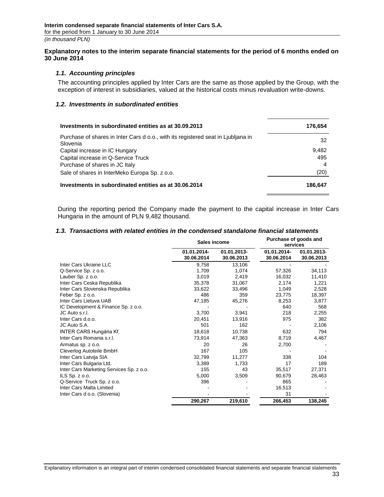#### **Explanatory notes to the interim separate financial statements for the period of 6 months ended on 30 June 2014**

#### *1.1. Accounting principles*

<span id="page-32-0"></span>The accounting principles applied by Inter Cars are the same as those applied by the Group, with the exception of interest in subsidiaries, valued at the historical costs minus revaluation write-downs.

#### <span id="page-32-1"></span>*1.2. Investments in subordinated entities*

<span id="page-32-2"></span>

| Investments in subordinated entities as at 30.09.2013                                         | 176.654 |
|-----------------------------------------------------------------------------------------------|---------|
| Purchase of shares in Inter Cars d o.o., with its registered seat in Ljubljana in<br>Slovenia | 32      |
| Capital increase in IC Hungary                                                                | 9.482   |
| Capital increase in Q-Service Truck                                                           | 495     |
| Purchase of shares in JC Italy                                                                | 4       |
| Sale of shares in InterMeko Europa Sp. z o.o.                                                 | (20)    |
| Investments in subordinated entities as at 30.06.2014                                         | 186.647 |

During the reporting period the Company made the payment to the capital increase in Inter Cars Hungaria in the amount of PLN 9,482 thousand.

#### *1.3. Transactions with related entities in the condensed standalone financial statements*

<span id="page-32-3"></span>

|                                          | <b>Sales income</b>       |                           | Purchase of goods and<br>services |                           |
|------------------------------------------|---------------------------|---------------------------|-----------------------------------|---------------------------|
|                                          | 01.01.2014-<br>30.06.2014 | 01.01.2013-<br>30.06.2013 | 01.01.2014-<br>30.06.2014         | 01.01.2013-<br>30.06.2013 |
| Inter Cars Ukraine LLC                   | 9,758                     | 13,106                    |                                   |                           |
| Q-Service Sp. z o.o.                     | 1.709                     | 1,074                     | 57,326                            | 34,113                    |
| Lauber Sp. z o.o.                        | 3,019                     | 2,419                     | 16,032                            | 11,410                    |
| Inter Cars Ceska Republika               | 35,378                    | 31,067                    | 2,174                             | 1,221                     |
| Inter Cars Slovenska Republika           | 33,622                    | 33,496                    | 1,049                             | 2,528                     |
| Feber Sp. z o.o.                         | 486                       | 359                       | 23.775                            | 18,397                    |
| Inter Cars Lietuva UAB                   | 47,185                    | 45,276                    | 8,253                             | 3,877                     |
| IC Development & Finance Sp. z o.o.      |                           |                           | 640                               | 568                       |
| JC Auto s.r.l.                           | 3,700                     | 3,941                     | 218                               | 2,255                     |
| Inter Cars d.o.o.                        | 20,451                    | 13,916                    | 975                               | 382                       |
| JC Auto S.A.                             | 501                       | 162                       |                                   | 2,106                     |
| <b>INTER CARS Hungária Kf.</b>           | 18,618                    | 10,738                    | 632                               | 794                       |
| Inter Cars Romania s.r.l.                | 73,914                    | 47,363                    | 8,719                             | 4,467                     |
| Armatus sp. z o.o.                       | 20                        | 26                        | 2,700                             |                           |
| Cleverlog Autoteile BmbH                 | 167                       | 105                       |                                   |                           |
| Inter Cars Latvija SIA                   | 32,799                    | 11,277                    | 338                               | 104                       |
| Inter Cars Bulgaria Ltd.                 | 3,389                     | 1.733                     | 17                                | 189                       |
| Inter Cars Marketing Services Sp. z o.o. | 155                       | 43                        | 35,517                            | 27,371                    |
| ILS $Sp. z 0.0$ .                        | 5,000                     | 3,509                     | 90,679                            | 28,463                    |
| Q-Service Truck Sp. z o.o.               | 396                       |                           | 865                               |                           |
| Inter Cars Malta Limited                 |                           |                           | 16,513                            |                           |
| Inter Cars d o.o. (Slovenia)             |                           |                           | 31                                |                           |
|                                          | 290,267                   | 219,610                   | 266,453                           | 138,245                   |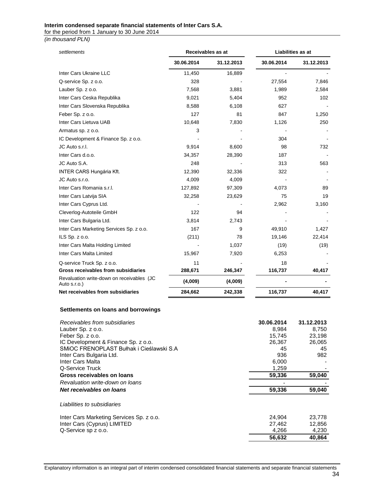#### **Interim condensed separate financial statements of Inter Cars S.A.**

for the period from 1 January to 30 June 2014

*(in thousand PLN)*

| settlements                                               | Receivables as at |            | Liabilities as at |            |
|-----------------------------------------------------------|-------------------|------------|-------------------|------------|
|                                                           | 30.06.2014        | 31.12.2013 | 30.06.2014        | 31.12.2013 |
| Inter Cars Ukraine LLC                                    | 11,450            | 16,889     |                   |            |
| Q-service Sp. z o.o.                                      | 328               |            | 27,554            | 7,846      |
| Lauber Sp. z o.o.                                         | 7,568             | 3,881      | 1,989             | 2,584      |
| Inter Cars Ceska Republika                                | 9,021             | 5,404      | 952               | 102        |
| Inter Cars Slovenska Republika                            | 8,588             | 6,108      | 627               |            |
| Feber Sp. z o.o.                                          | 127               | 81         | 847               | 1,250      |
| Inter Cars Lietuva UAB                                    | 10,648            | 7,830      | 1,126             | 250        |
| Armatus sp. z o.o.                                        | 3                 |            |                   |            |
| IC Development & Finance Sp. z o.o.                       |                   |            | 304               |            |
| JC Auto s.r.l.                                            | 9,914             | 8,600      | 98                | 732        |
| Inter Cars d.o.o.                                         | 34,357            | 28,390     | 187               |            |
| JC Auto S.A.                                              | 248               |            | 313               | 563        |
| <b>INTER CARS Hungária Kft.</b>                           | 12,390            | 32,336     | 322               |            |
| JC Auto s.r.o.                                            | 4,009             | 4,009      |                   |            |
| Inter Cars Romania s.r.l.                                 | 127,892           | 97,309     | 4,073             | 89         |
| Inter Cars Latvija SIA                                    | 32,258            | 23,629     | 75                | 19         |
| Inter Cars Cyprus Ltd.                                    |                   |            | 2,962             | 3,160      |
| Cleverlog-Autoteile GmbH                                  | 122               | 94         |                   |            |
| Inter Cars Bulgaria Ltd.                                  | 3,814             | 2,743      |                   |            |
| Inter Cars Marketing Services Sp. z o.o.                  | 167               | 9          | 49,910            | 1,427      |
| ILS $Sp. z 0.0$ .                                         | (211)             | 78         | 19,146            | 22,414     |
| Inter Cars Malta Holding Limited                          |                   | 1,037      | (19)              | (19)       |
| Inter Cars Malta Limited                                  | 15,967            | 7,920      | 6,253             |            |
| Q-service Truck Sp. z o.o.                                | 11                |            | 18                |            |
| Gross receivables from subsidiaries                       | 288,671           | 246,347    | 116,737           | 40,417     |
| Revaluation write-down on receivables (JC<br>Auto s.r.o.) | (4,009)           | (4,009)    |                   |            |
| Net receivables from subsidiaries                         | 284,662           | 242,338    | 116,737           | 40,417     |
|                                                           |                   |            |                   |            |

#### **Settlements on loans and borrowings**

| Receivables from subsidiaries            | 30.06.2014 | 31.12.2013 |
|------------------------------------------|------------|------------|
| Lauber Sp. z o.o.                        | 8.984      | 8,750      |
| Feber Sp. z o.o.                         | 15,745     | 23,198     |
| IC Development & Finance Sp. z o.o.      | 26,367     | 26,065     |
| SMIOC FRENOPLAST Bułhak i Cieślawski S.A | 45         | 45         |
| Inter Cars Bulgaria Ltd.                 | 936        | 982        |
| Inter Cars Malta                         | 6,000      |            |
| Q-Service Truck                          | 1,259      |            |
| Gross receivables on loans               | 59,336     | 59,040     |
| Revaluation write-down on loans          |            |            |
| Net receivables on loans                 | 59,336     | 59,040     |
|                                          |            |            |
| Liabilities to subsidiaries              |            |            |
| Inter Cars Marketing Services Sp. z o.o. | 24,904     | 23,778     |
| Inter Cars (Cyprus) LIMITED              | 27,462     | 12,856     |
| Q-Service sp z o.o.                      | 4,266      | 4,230      |
|                                          | 56,632     | 40,864     |